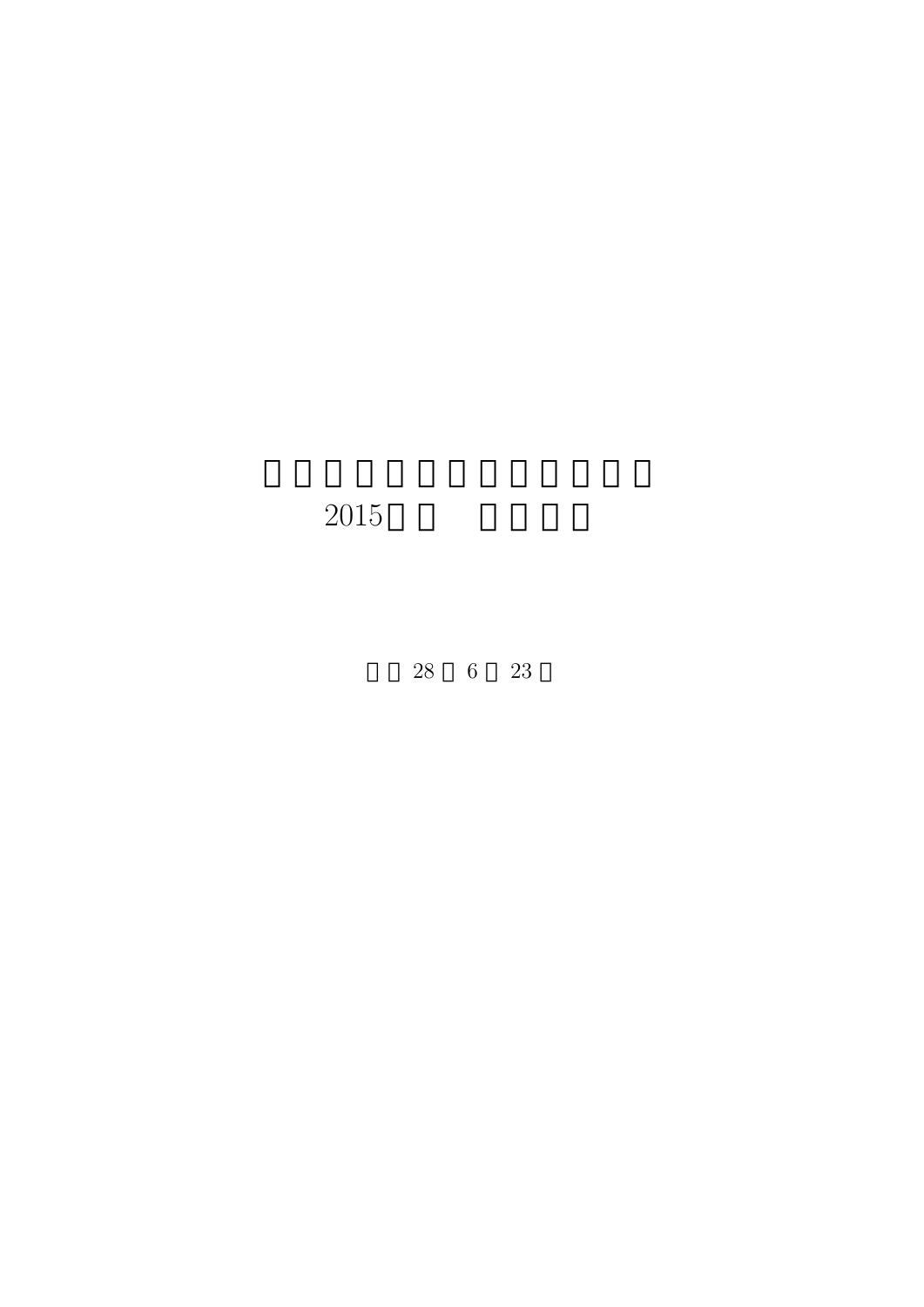$2015$ 

平成 28 6 23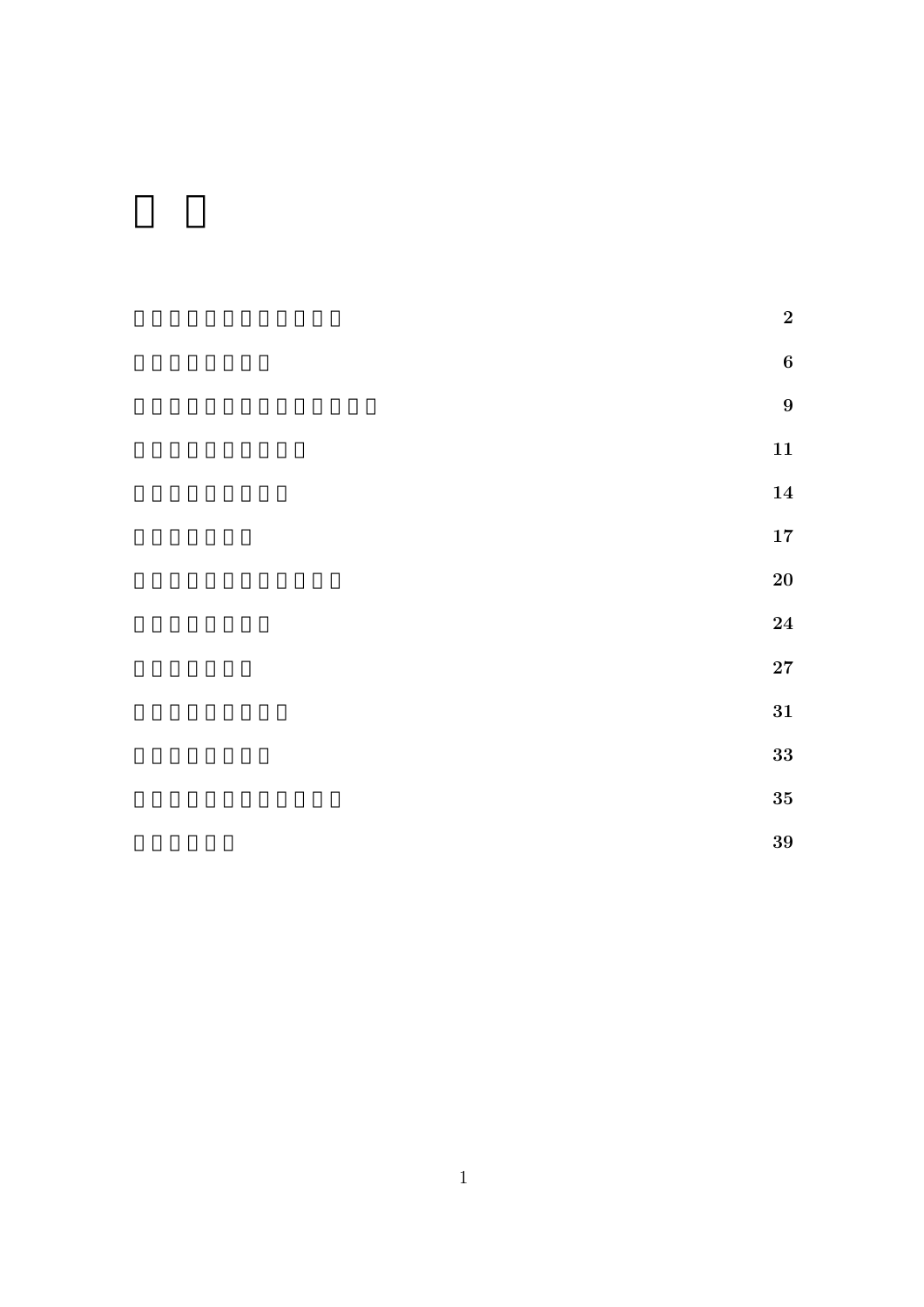| $\overline{\mathbf{c}}$ |
|-------------------------|
| $\overline{6}$          |
| 9                       |
| 11                      |
| 14                      |
| 17                      |
| $\overline{20}$         |
| 24                      |
| $\overline{27}$         |
| 31                      |
| 33                      |
| 35                      |

宇宙論研究室 **39**

**2**

**6**

**9**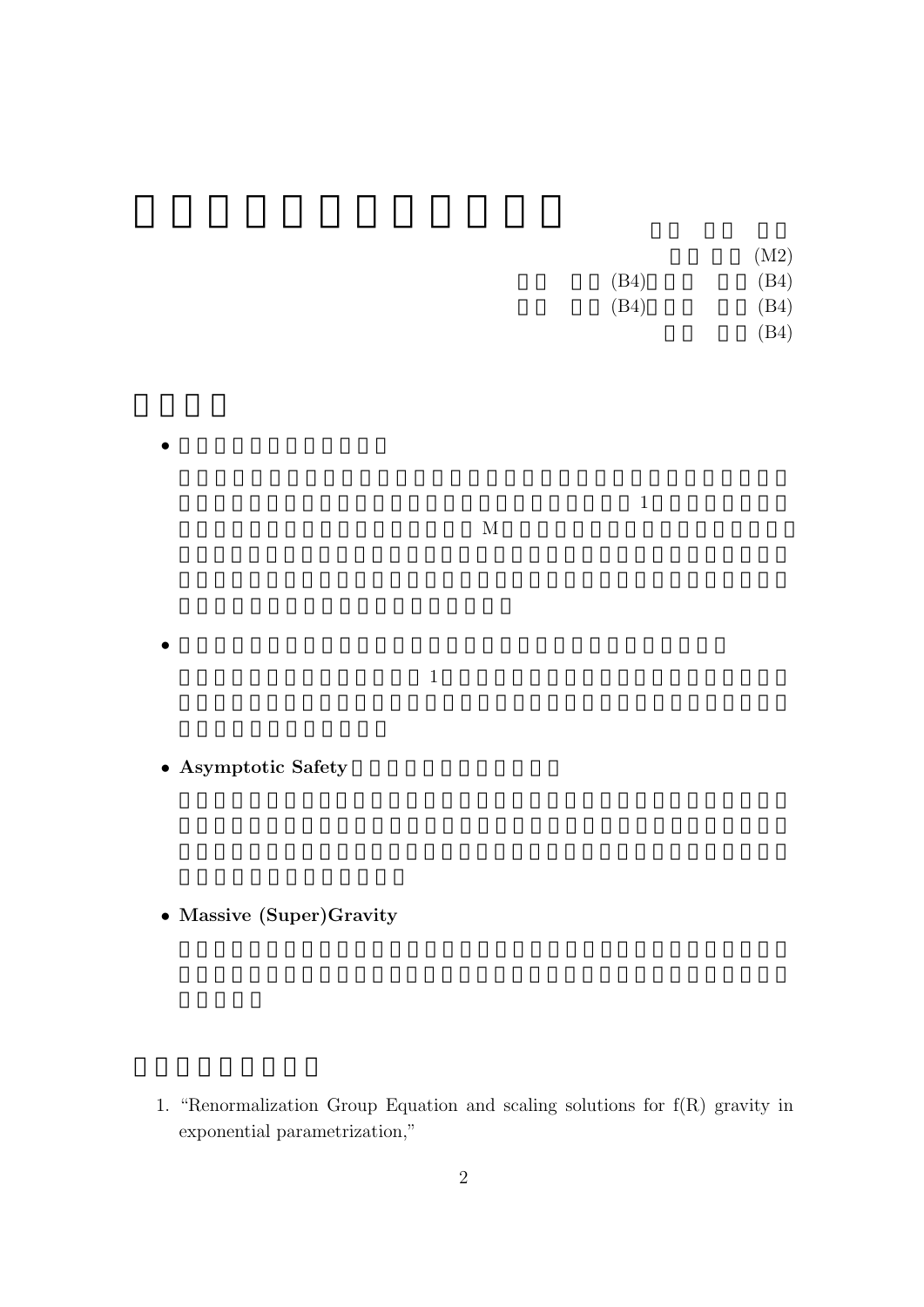|      | (M2) |
|------|------|
| (B4) | (B4) |
| (B4) | (B4) |
|      | (B4) |

 $1$  $M$ 

*•* 超弦理論低エネルギー有効理論によるインフレーション解など宇宙論  $1$ 

*•* 重力を含む統一理論の研究

• **Asymptotic Safety** 

*•* **Massive (Super)Gravity**

1. "Renormalization Group Equation and scaling solutions for f(R) gravity in exponential parametrization,"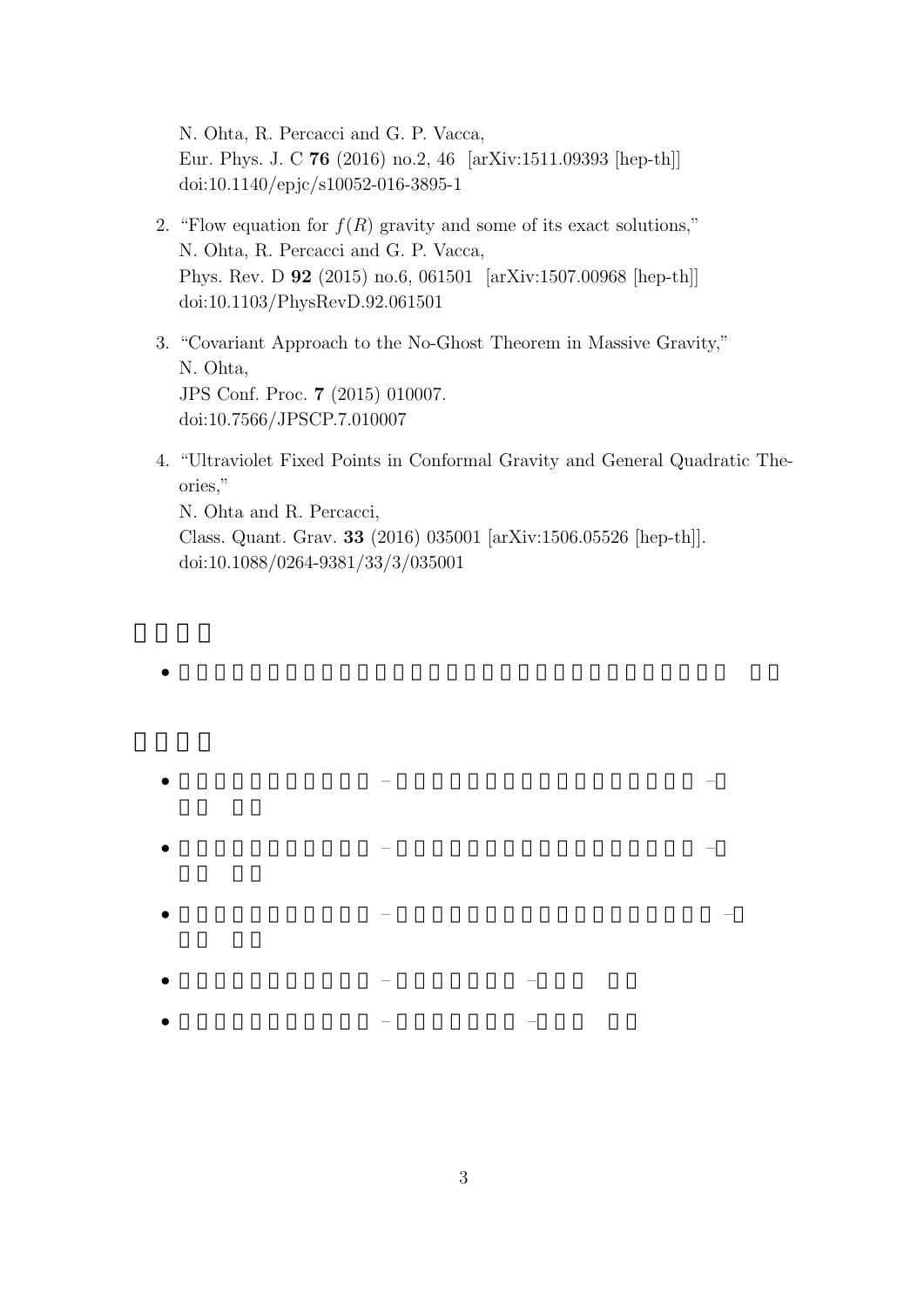N. Ohta, R. Percacci and G. P. Vacca, Eur. Phys. J. C **76** (2016) no.2, 46 [arXiv:1511.09393 [hep-th]] doi:10.1140/epjc/s10052-016-3895-1

- 2. "Flow equation for  $f(R)$  gravity and some of its exact solutions," N. Ohta, R. Percacci and G. P. Vacca, Phys. Rev. D **92** (2015) no.6, 061501 [arXiv:1507.00968 [hep-th]] doi:10.1103/PhysRevD.92.061501
- 3. "Covariant Approach to the No-Ghost Theorem in Massive Gravity," N. Ohta, JPS Conf. Proc. **7** (2015) 010007. doi:10.7566/JPSCP.7.010007
- 4. "Ultraviolet Fixed Points in Conformal Gravity and General Quadratic Theories," N. Ohta and R. Percacci,

•<br>• The contract of the contract of the contract of the contract of the contract of the contract of the contract

Class. Quant. Grav. **33** (2016) 035001 [arXiv:1506.05526 [hep-th]]. doi:10.1088/0264-9381/33/3/035001

- •<br>• 「重力の量子論」の量子論ではなぜ発表的事件ではなぜ発表的なのか <sub>→</sub> • 「重力の量子論への過去」 – <sub>第</sub>一第一第一第一第一第一第一第一第一第一第一 *•* 「重力の量子論へ向けて – 一般相対論はなぜくりこみ不可能なのか – *•* 「重力の量子論へ向けて – 電荷のくりこみ –」山口 泰央
- *•* 「重力の量子論へ向けて 質量のくりこみ –」奥西 沙織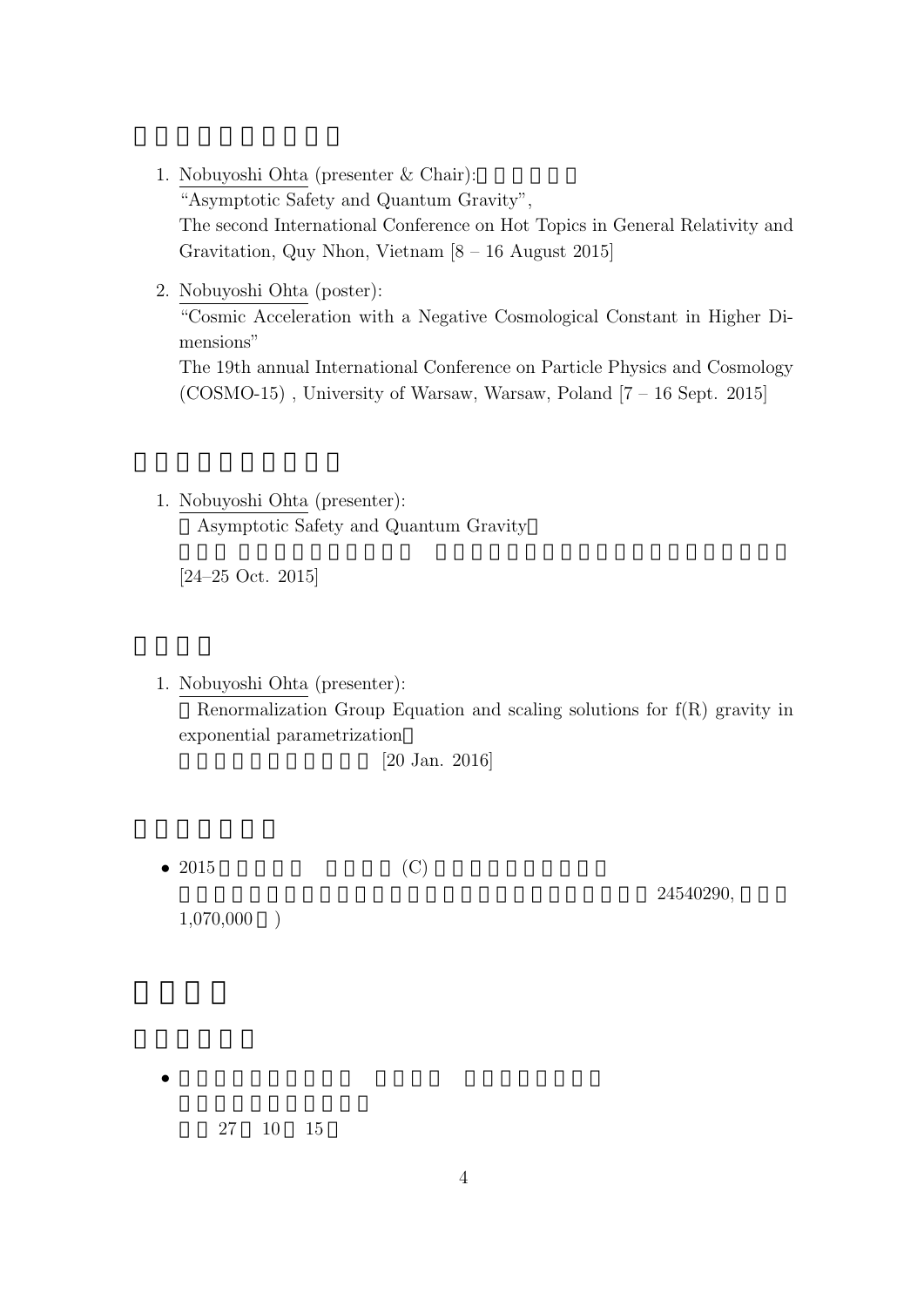1. Nobuyoshi Ohta (presenter  $& Chair)$ :

"Asymptotic Safety and Quantum Gravity", The second International Conference on Hot Topics in General Relativity and Gravitation, Quy Nhon, Vietnam [8 – 16 August 2015]

2. Nobuyoshi Ohta (poster):

"Cosmic Acceleration with a Negative Cosmological Constant in Higher Dimensions"

The 19th annual International Conference on Particle Physics and Cosmology (COSMO-15) , University of Warsaw, Warsaw, Poland [7 – 16 Sept. 2015]

1. Nobuyoshi Ohta (presenter): Asymptotic Safety and Quantum Gravity

[24–25 Oct. 2015]

1. Nobuyoshi Ohta (presenter):

Renormalization Group Equation and scaling solutions for f(R) gravity in exponential parametrization

 $[20 \text{ Jan. } 2016]$ 

• 2015 (C)

24540290,

1,070,000 )

*•* 島根県立益田高校対象 ミニ講義 「素粒子論の今」

平成 27 10 15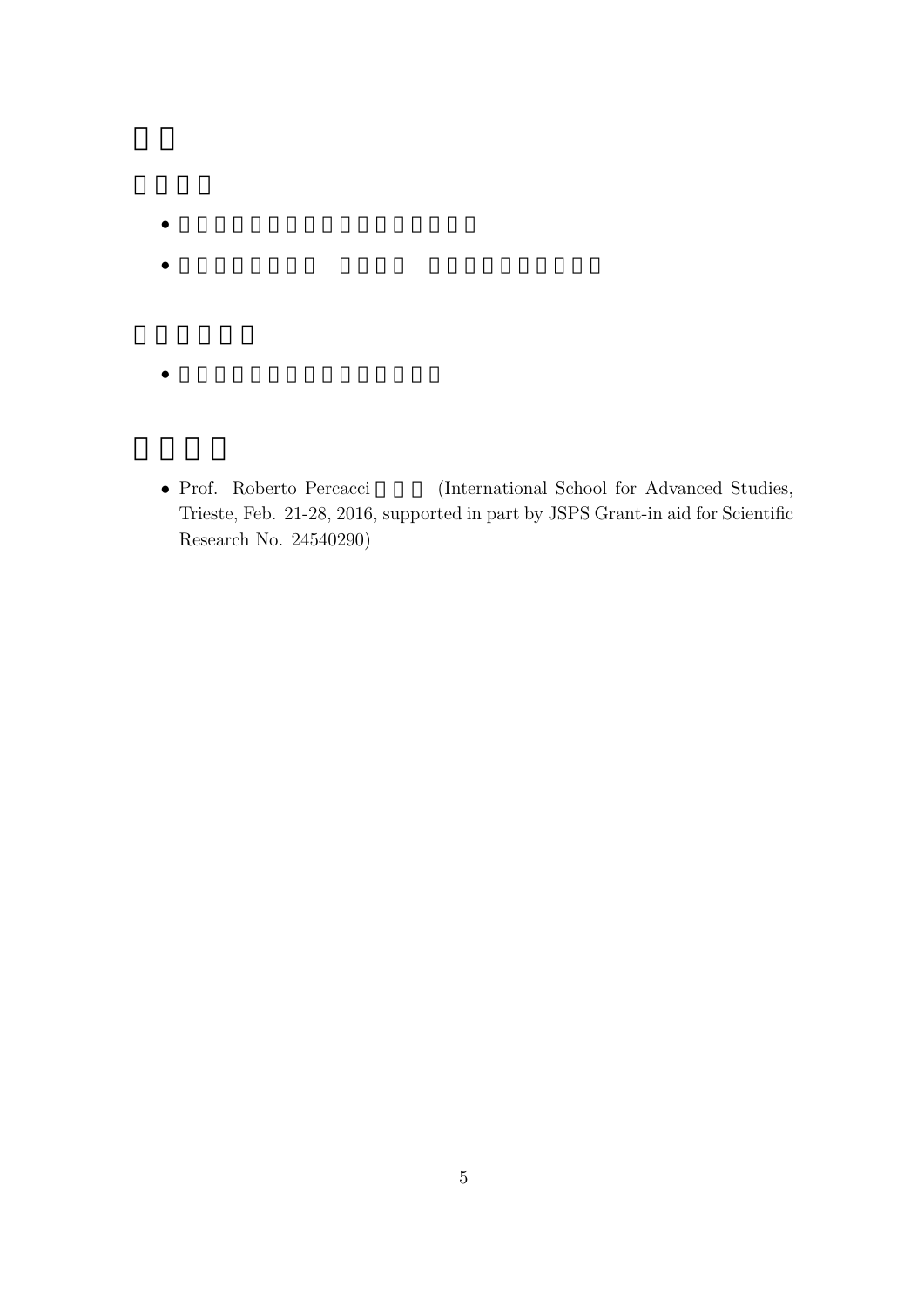- *•* 理学科物理学コース主任(前、後期)
- *•* 総合理工学研究科 理学専攻 人事委員(前、後期)
- *•* 京都産業大学益川塾学外指導教授
- Prof. Roberto Percacci (International School for Advanced Studies, Trieste, Feb. 21-28, 2016, supported in part by JSPS Grant-in aid for Scientific Research No. 24540290)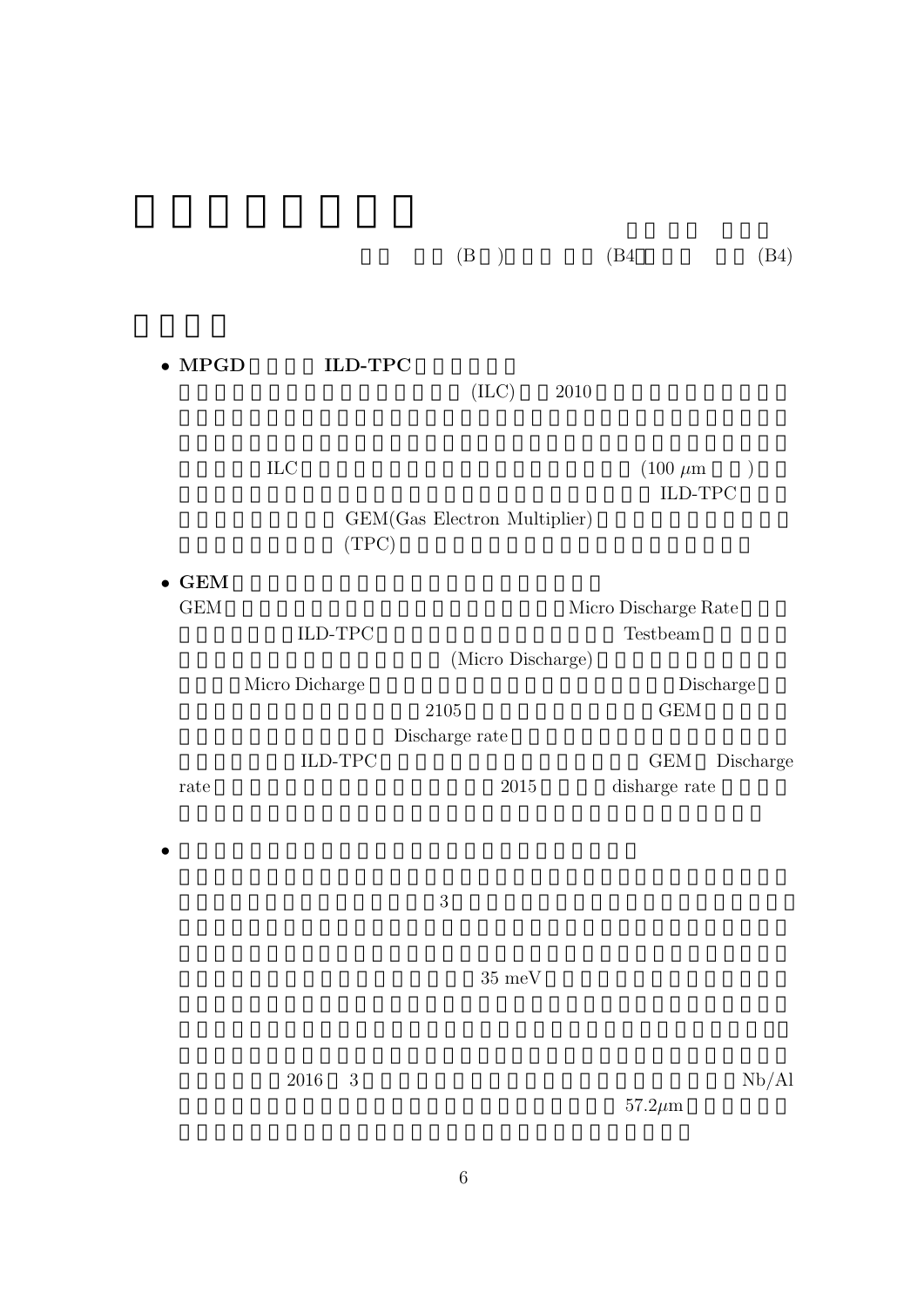$\begin{array}{lll} \text{(B)} & \\ \text{(B4)} & \text{(B4)} \end{array}$ 

| $\bullet$ MPGD | <b>ILD-TPC</b>             | (ILC)                                       | $2010\,$ |                                  |                  |
|----------------|----------------------------|---------------------------------------------|----------|----------------------------------|------------------|
|                | ILC<br>(TPC)               | GEM(Gas Electron Multiplier)                |          | $(100 \ \mu m)$<br>ILD-TPC       | $\left( \right)$ |
| GEM<br>GEM     | ILD-TPC                    |                                             |          | Micro Discharge Rate<br>Testbeam |                  |
|                | Micro Dicharge             | (Micro Discharge)<br>2105<br>Discharge rate |          | <b>GEM</b>                       | Discharge        |
| rate           | ILD-TPC                    | $2015\,$                                    |          | <b>GEM</b><br>disharge rate      | Discharge        |
|                |                            | $\sqrt{3}$                                  |          |                                  |                  |
|                |                            | $35~\mathrm{meV}$                           |          |                                  |                  |
|                | $\,2016$<br>$\mathfrak{Z}$ |                                             |          | $57.2 \mu m$                     | Nb/Al            |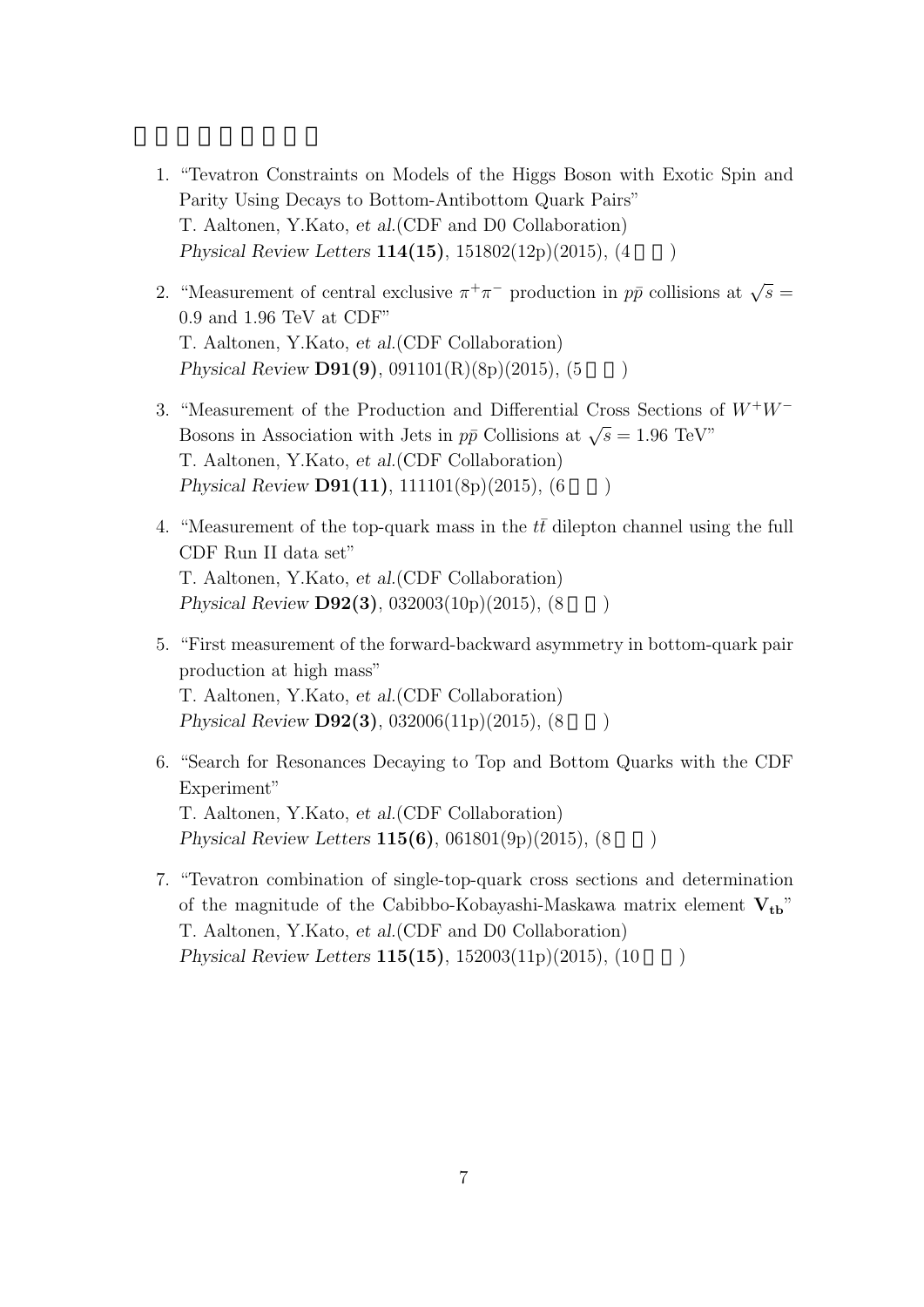- 1. "Tevatron Constraints on Models of the Higgs Boson with Exotic Spin and Parity Using Decays to Bottom-Antibottom Quark Pairs" T. Aaltonen, Y.Kato, *et al.*(CDF and D0 Collaboration) *Physical Review Letters* **114(15)**, 151802(12p)(2015), (4)
- 2. "Measurement of central exclusive  $\pi^+\pi^-$  production in  $p\bar{p}$  collisions at  $\sqrt{s}$ 0*.*9 and 1.96 TeV at CDF" T. Aaltonen, Y.Kato, *et al.*(CDF Collaboration) *Physical Review* **D91(9)**,  $091101(R)(8p)(2015)$ , (5)
- 3. "Measurement of the Production and Differential Cross Sections of *W*<sup>+</sup>*W<sup>−</sup>* Bosons in Association with Jets in  $p\bar{p}$  Collisions at  $\sqrt{s} = 1.96$  TeV" T. Aaltonen, Y.Kato, *et al.*(CDF Collaboration) *Physical Review* **D91(11)**, 111101(8p)(2015), (6)
- 4. "Measurement of the top-quark mass in the  $t\bar{t}$  dilepton channel using the full CDF Run II data set" T. Aaltonen, Y.Kato, *et al.*(CDF Collaboration) *Physical Review* **D92(3)**, 032003(10p)(2015), (8)
- 5. "First measurement of the forward-backward asymmetry in bottom-quark pair production at high mass" T. Aaltonen, Y.Kato, *et al.*(CDF Collaboration) *Physical Review* **D92(3)**, 032006(11p)(2015), (8)
- 6. "Search for Resonances Decaying to Top and Bottom Quarks with the CDF Experiment" T. Aaltonen, Y.Kato, *et al.*(CDF Collaboration) *Physical Review Letters* **115(6)**, 061801(9p)(2015), (8)
- 7. "Tevatron combination of single-top-quark cross sections and determination of the magnitude of the Cabibbo-Kobayashi-Maskawa matrix element **Vtb**" T. Aaltonen, Y.Kato, *et al.*(CDF and D0 Collaboration) *Physical Review Letters* **115(15)**, 152003(11p)(2015), (10)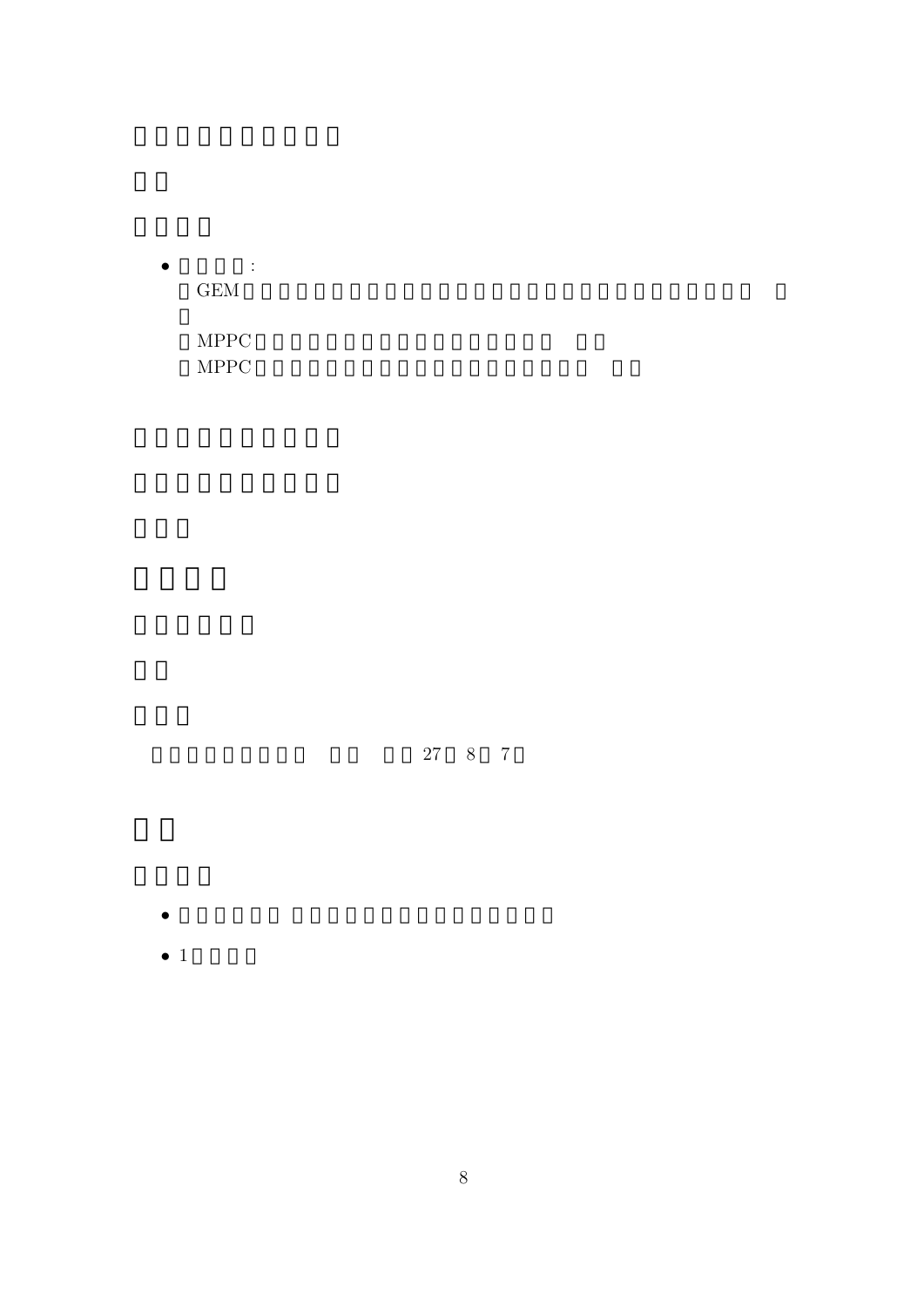*•* 学士論文:  $GEM$  $MPPC$ 

 $MPPC$ 

27 8 7

- •<br>• <sub>1</sub>
- 1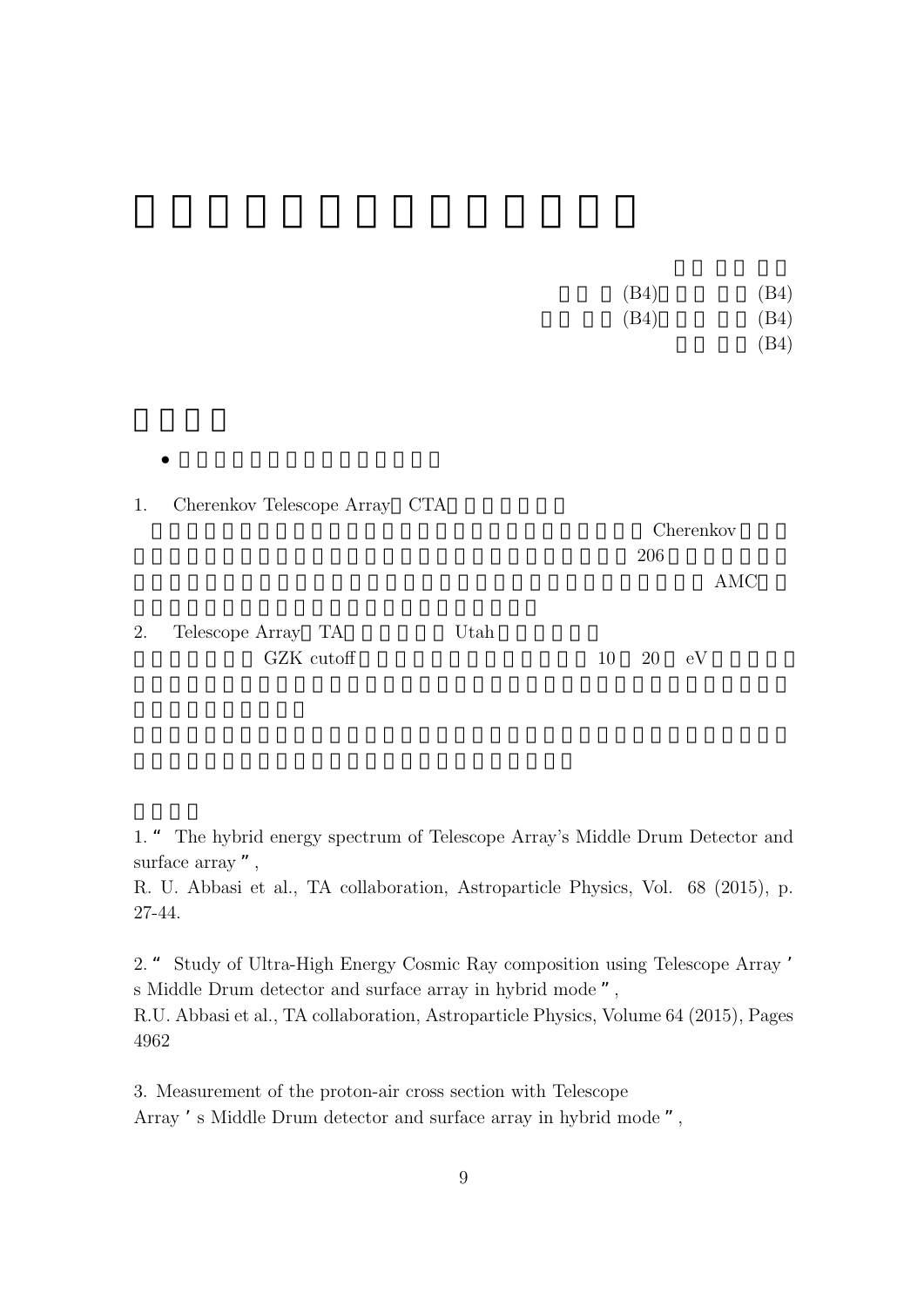| (B4) | (B4) |
|------|------|
| (B4) | (B4) |
|      | (B4) |

•<br>• <sub>Control</sub> and <sub>Pa</sub> 1. Cherenkov Telescope Array CTA Cherenkov  $206$  $AMC$ 2. Telescope Array TA Utah GZK cutoff  $10\quad 20\quad \text{eV}$ 

1. " The hybrid energy spectrum of Telescope Array's Middle Drum Detector and surface array",

R. U. Abbasi et al., TA collaboration, Astroparticle Physics, Vol. 68 (2015), p. 27-44.

2. " Study of Ultra-High Energy Cosmic Ray composition using Telescope Array ' s Middle Drum detector and surface array in hybrid mode ", R.U. Abbasi et al., TA collaboration, Astroparticle Physics, Volume 64 (2015), Pages 4962

3. Measurement of the proton-air cross section with Telescope Array 's Middle Drum detector and surface array in hybrid mode ",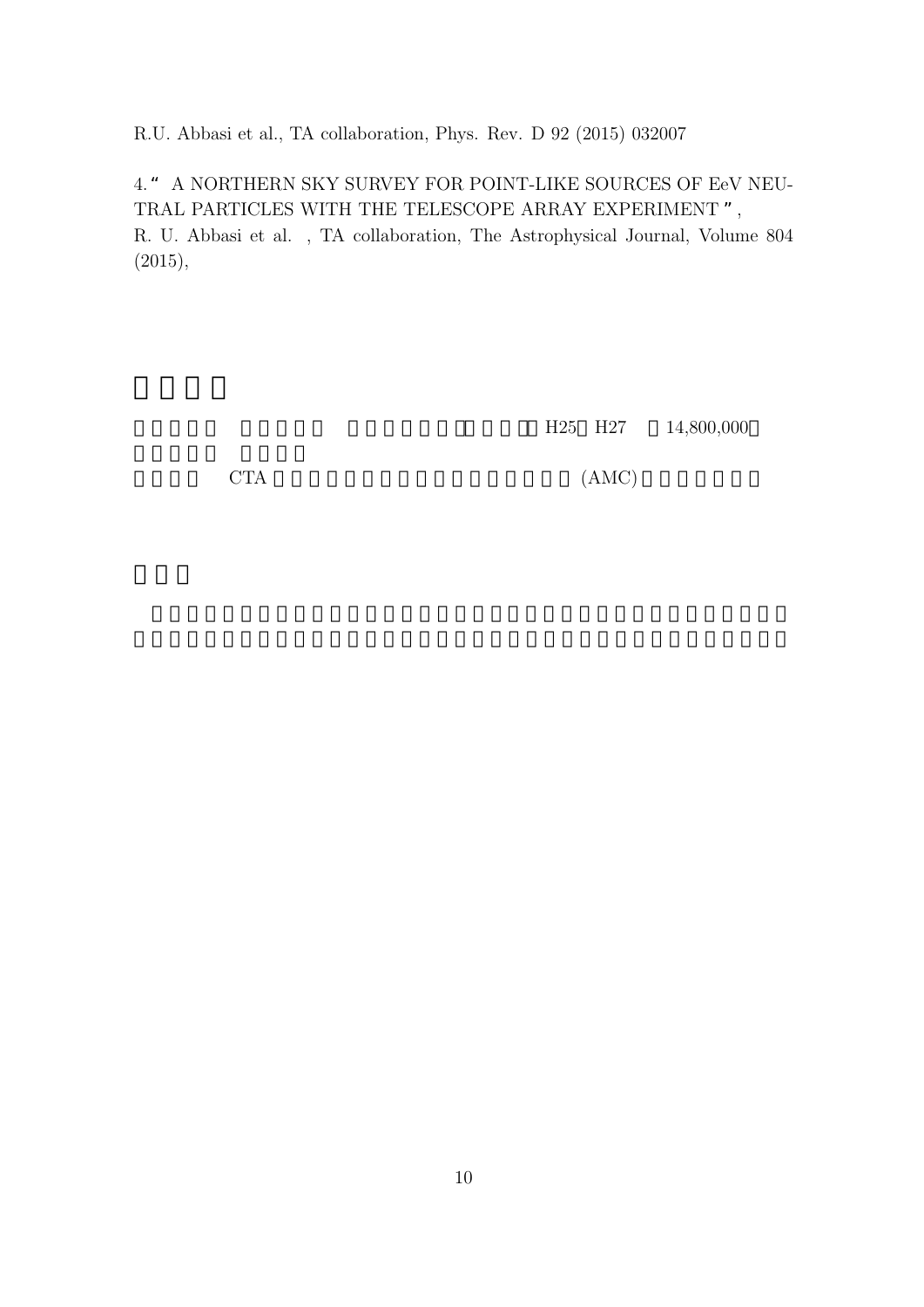R.U. Abbasi et al., TA collaboration, Phys. Rev. D 92 (2015) 032007

4." A NORTHERN SKY SURVEY FOR POINT-LIKE SOURCES OF EeV NEU-TRAL PARTICLES WITH THE TELESCOPE ARRAY EXPERIMENT " , R. U. Abbasi et al. , TA collaboration, The Astrophysical Journal, Volume 804 (2015),

H25 H27 14,800,000

 $CTA$  (AMC)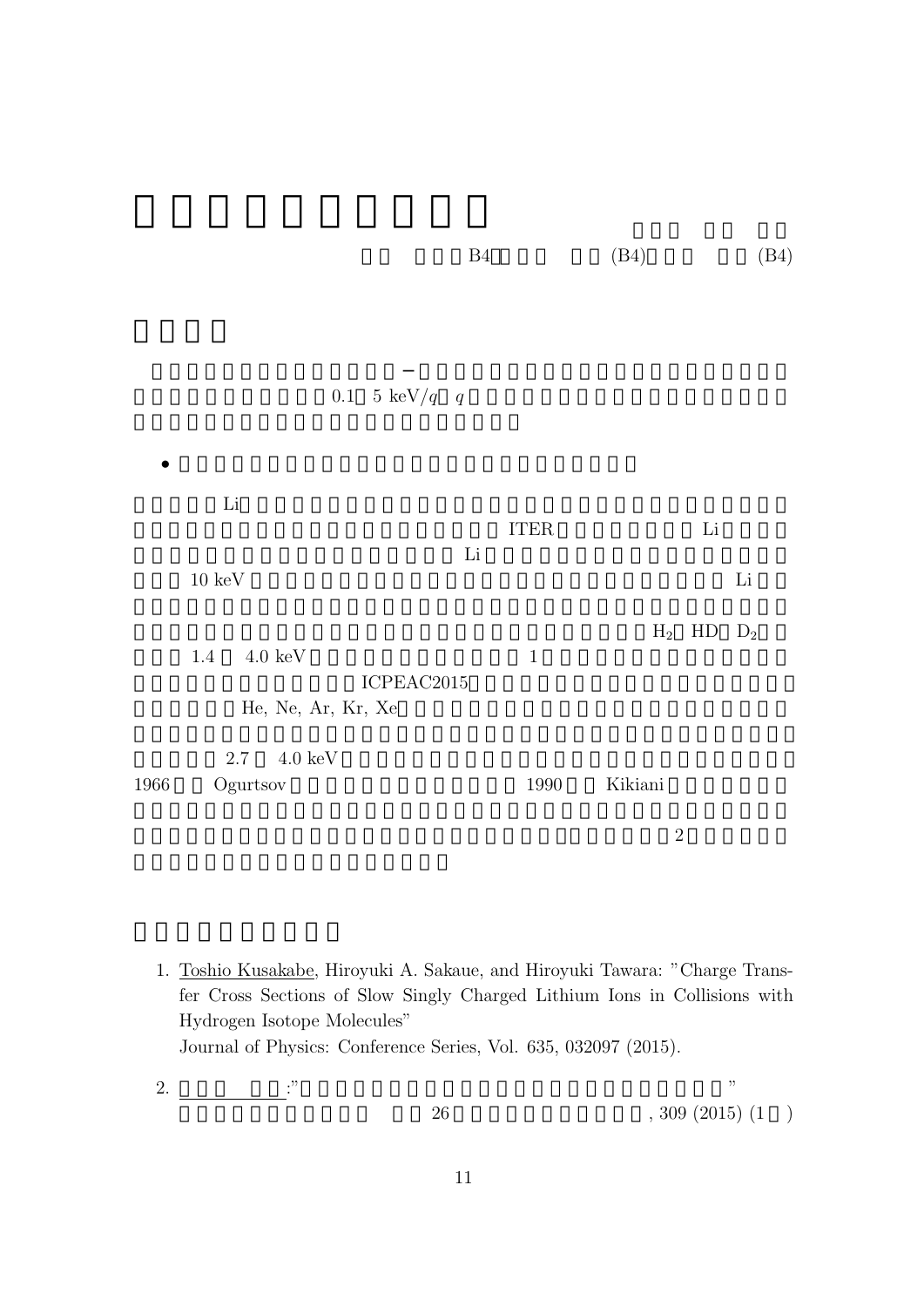| 0.1 5 keV/q q                                                  |              |                             |
|----------------------------------------------------------------|--------------|-----------------------------|
| $\rm Li$<br>$\rm Li$                                           | <b>ITER</b>  | Li                          |
| $10\ \mathrm{keV}$                                             |              | $\rm Li$                    |
| $4.0\ \mathrm{keV}$<br>1.4<br>ICPEAC2015<br>He, Ne, Ar, Kr, Xe | $\mathbf{1}$ | $\rm{H}_{2}$<br>HD<br>$D_2$ |
| $4.0\ \mathrm{keV}$<br>2.7<br>1966<br>Ogurtsov                 | 1990         | Kikiani<br>$\overline{2}$   |

 $B4 \qquad (B4) \qquad (B4)$ 

1. Toshio Kusakabe, Hiroyuki A. Sakaue, and Hiroyuki Tawara: "Charge Transfer Cross Sections of Slow Singly Charged Lithium Ions in Collisions with Hydrogen Isotope Molecules" Journal of Physics: Conference Series, Vol. 635, 032097 (2015).

2. <u>– Filipson Superior Superior Superior Superior Superior Superior Superior Superior Superior Superior Superior Superior Superior Superior Superior Superior Superior Superior Superior Superior Superior Superior Superior </u>  $26$  , 309 (2015) (1 )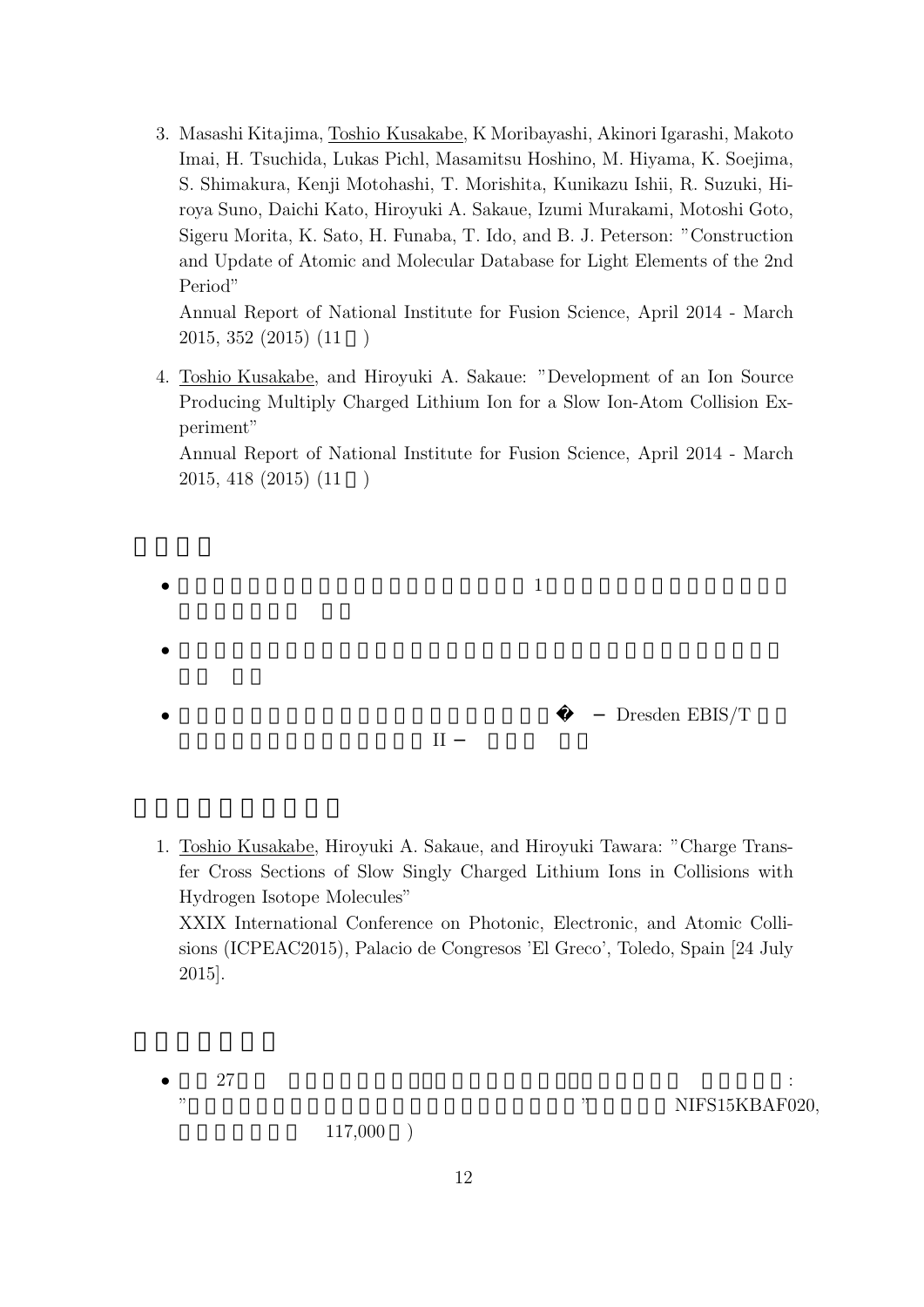3. Masashi Kitajima, Toshio Kusakabe, K Moribayashi, Akinori Igarashi, Makoto Imai, H. Tsuchida, Lukas Pichl, Masamitsu Hoshino, M. Hiyama, K. Soejima, S. Shimakura, Kenji Motohashi, T. Morishita, Kunikazu Ishii, R. Suzuki, Hiroya Suno, Daichi Kato, Hiroyuki A. Sakaue, Izumi Murakami, Motoshi Goto, Sigeru Morita, K. Sato, H. Funaba, T. Ido, and B. J. Peterson: "Construction and Update of Atomic and Molecular Database for Light Elements of the 2nd Period"

Annual Report of National Institute for Fusion Science, April 2014 - March 2015, 352 (2015) (11 )

4. Toshio Kusakabe, and Hiroyuki A. Sakaue: "Development of an Ion Source Producing Multiply Charged Lithium Ion for a Slow Ion-Atom Collision Experiment"

Annual Report of National Institute for Fusion Science, April 2014 - March 2015, 418 (2015) (11 )

| $\bullet$ |   |                |
|-----------|---|----------------|
| $\bullet$ |   |                |
| $\bullet$ | H | Dresden EBIS/T |

1. Toshio Kusakabe, Hiroyuki A. Sakaue, and Hiroyuki Tawara: "Charge Transfer Cross Sections of Slow Singly Charged Lithium Ions in Collisions with Hydrogen Isotope Molecules" XXIX International Conference on Photonic, Electronic, and Atomic Collisions (ICPEAC2015), Palacio de Congresos 'El Greco', Toledo, Spain [24 July 2015].

*•* 平成27年度 自然科学研究機構・核融合科学研究所・一般共同研究 研究代表者: "
NIFS15KBAF020,  $117,000$  )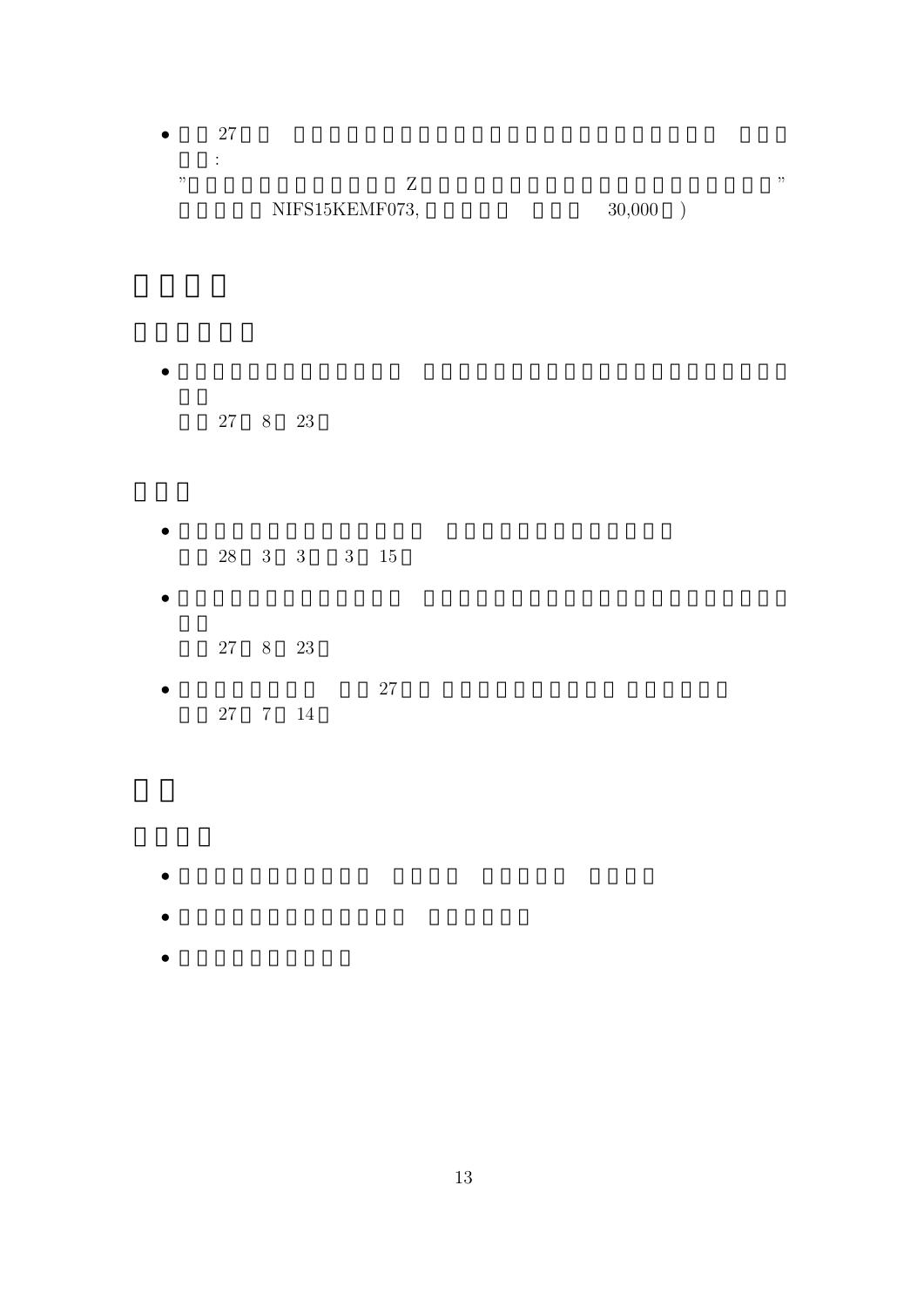| $\bullet$ | חה             |        |   |
|-----------|----------------|--------|---|
|           | ٠              |        |   |
| , ,       |                |        | " |
|           | NIFS15KEMF073, | 30,000 |   |

- •<br>• The contract of the contract of the contract of the contract of the contract of the contract of the contract<br>• The contract of the contract of the contract of the contract of the contract of the contract of the contrac
	- 平成 27 8 23 日
- *•* 「教員採用試験春季集中講座」 専門・理科実験(物理)担当  $\begin{array}{ccccccccc}\n 28 & 3 & 3 & 3 & 15\n \end{array}$ •<br>• The contract of the contract of the contract of the contract of the contract of the contract of the contract<br>• The contract of the contract of the contract of the contract of the contract of the contract of the contrac
- 平成 27 8 23
- **•**  $27$ 平成 27 7 14
- *•* 大学院総合理工学研究科 理学専攻 物理学分野 副専攻長
- 
- *•* 教員養成カリキュラム委員会 理工学部委員 *•* 理工学部入学試験委員
	-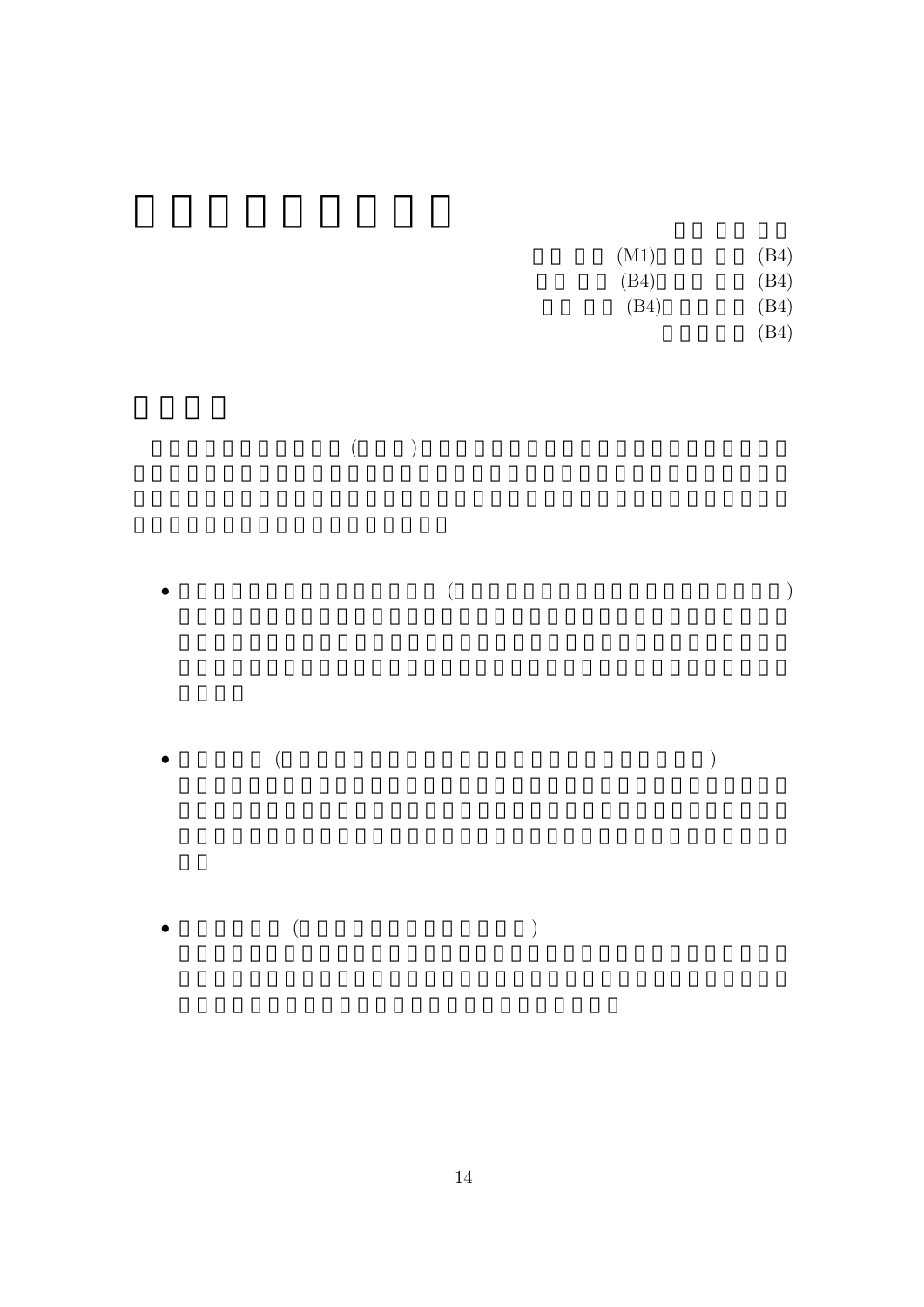| (M1) | (B4) |
|------|------|
| (B4) | (B4) |
| (B4) | (B4) |
|      | (B4) |

 $($ 

•  $\bullet$   $($ 

• (  $\qquad \qquad$  )

• (exercise (exercise exercise)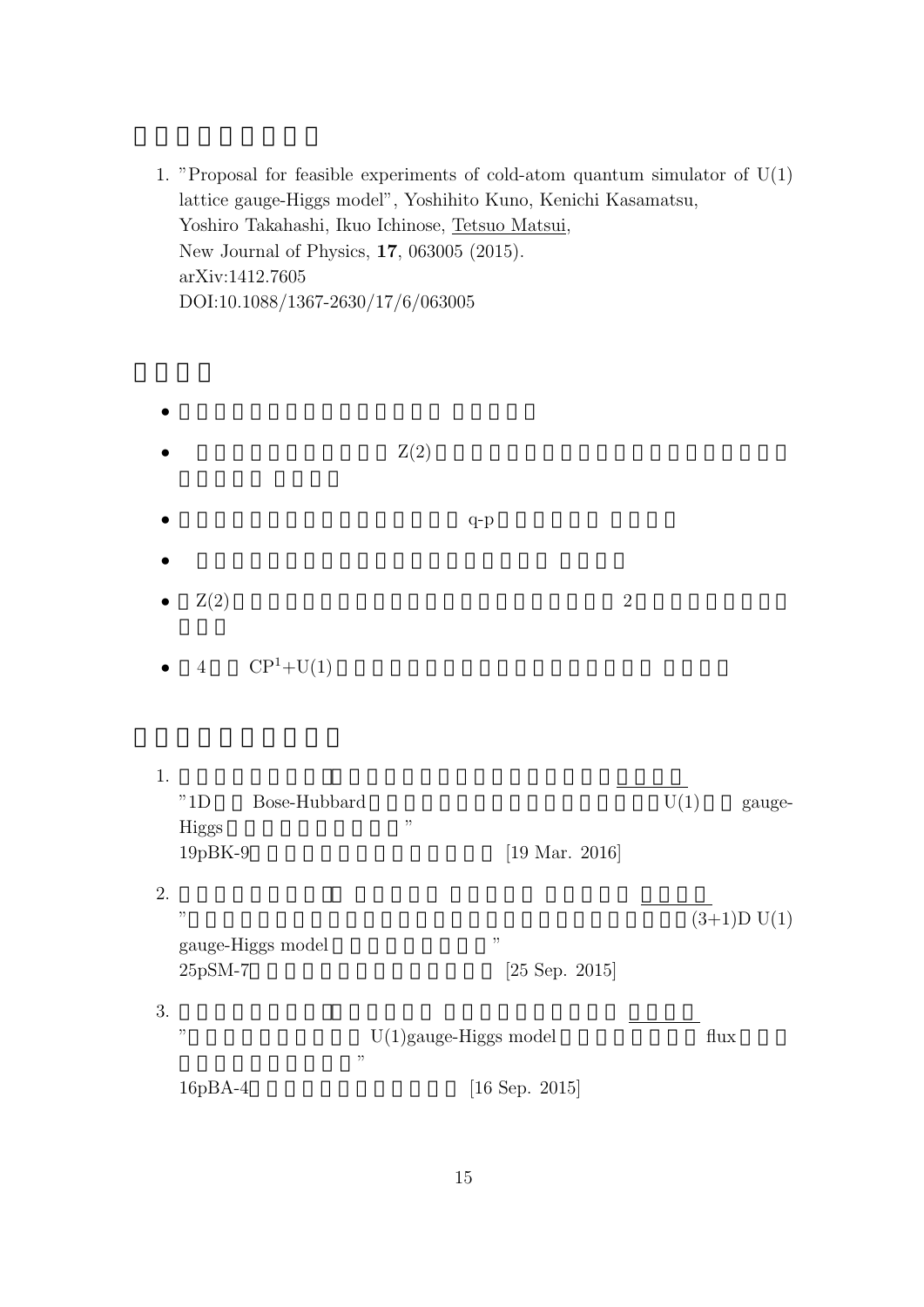1. "Proposal for feasible experiments of cold-atom quantum simulator of  $U(1)$ lattice gauge-Higgs model", Yoshihito Kuno, Kenichi Kasamatsu, Yoshiro Takahashi, Ikuo Ichinose, Tetsuo Matsui, New Journal of Physics, **17**, 063005 (2015). arXiv:1412.7605 DOI:10.1088/1367-2630/17/6/063005

• **•** The contract of the contract of the contract of the contract of the contract of the contract of the contract of the contract of the contract of the contract of the contract of the contract of the contract of the cont

•  $Z(2)$ • **•**  $q-p$ *•* 「疎結合ネットワーク上の右脳左脳モデル」 辛島侑樹 •  $Z(2)$  2  $Z(3)$  $4 \qquad \text{CP}^1 + \text{U}(1)$  $1.$ "1D Bose-Hubbard  $U(1)$  gauge-Higgs "  $19pBK-9$  [19 Mar. 2016]  $2.$  $\frac{1}{(3+1)D}$  U(1) gauge-Higgs model "  $25pSM-7$  [25 Sep. 2015]  $3.$ "  $U(1)$ gauge-Higgs model flux  $\overline{\phantom{a}}$ 16pBA-4 [16 Sep. 2015]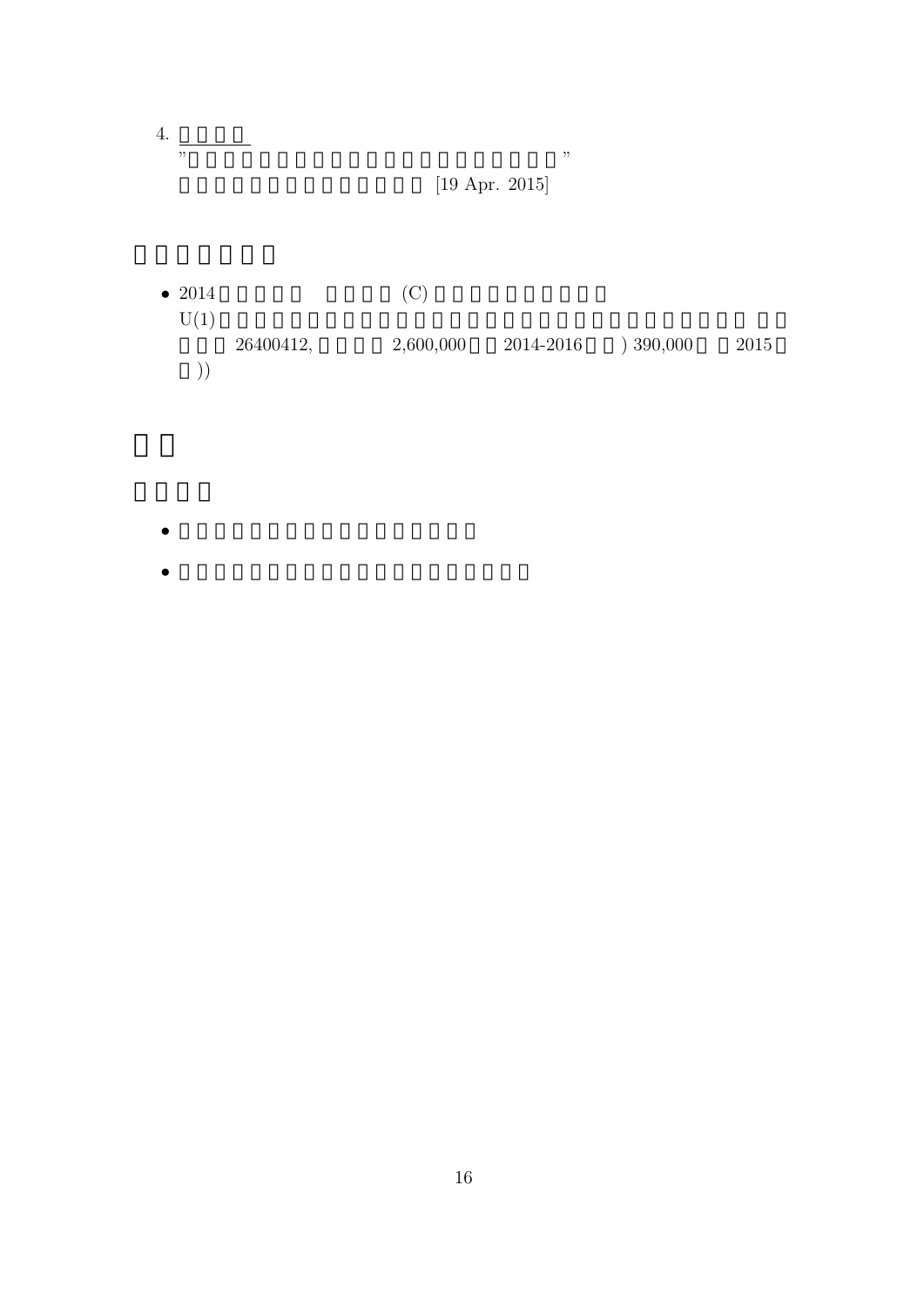

- ))
- *•* 理工学部学生委員会委員(前、後期)
- •<br>• March 2000 product 2000 product 2000 product 2000 product 2000 product 2000 product 2000 product 2000 produc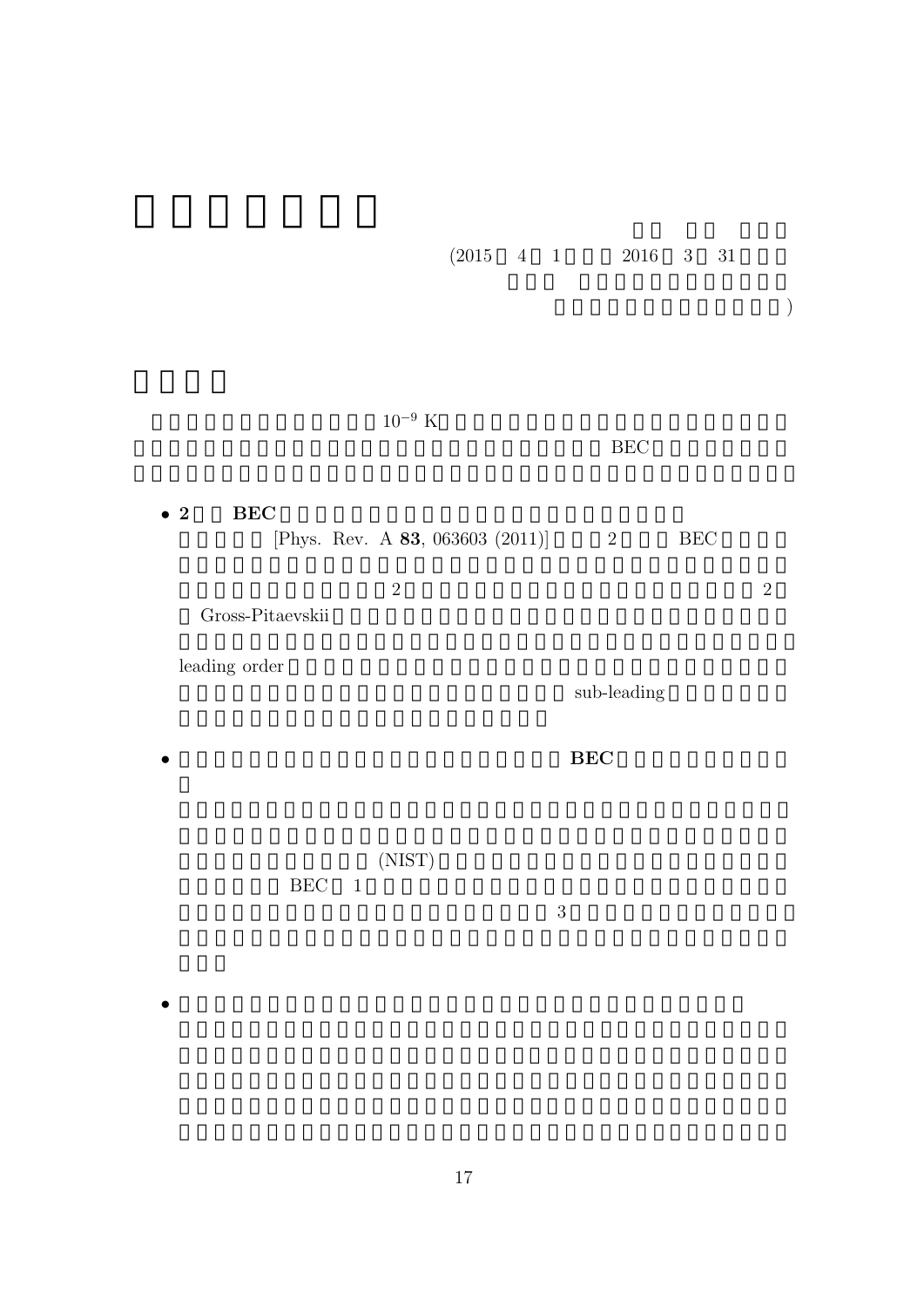$(2015 \quad \ \, 4 \quad \ \ 1 \qquad \quad \ \, 2016 \quad \ \, 3 \quad \ 31$  $)$ 10<sup>−9</sup> K  $\rm BEC$  $\bullet$  **2 BEC**  $[Phys. Rev. A 83, 063603 (2011)]$  2 BEC  $\overline{2}$  2 Gross-Pitaevskii leading order sub-leading • **BEC**  $(NIST)$ 

BEC  $1$  $3$ 

•<br>• インタイナミクススタイナミクススタイナミクススタイナミクススタイナミクススタイナミクススタイ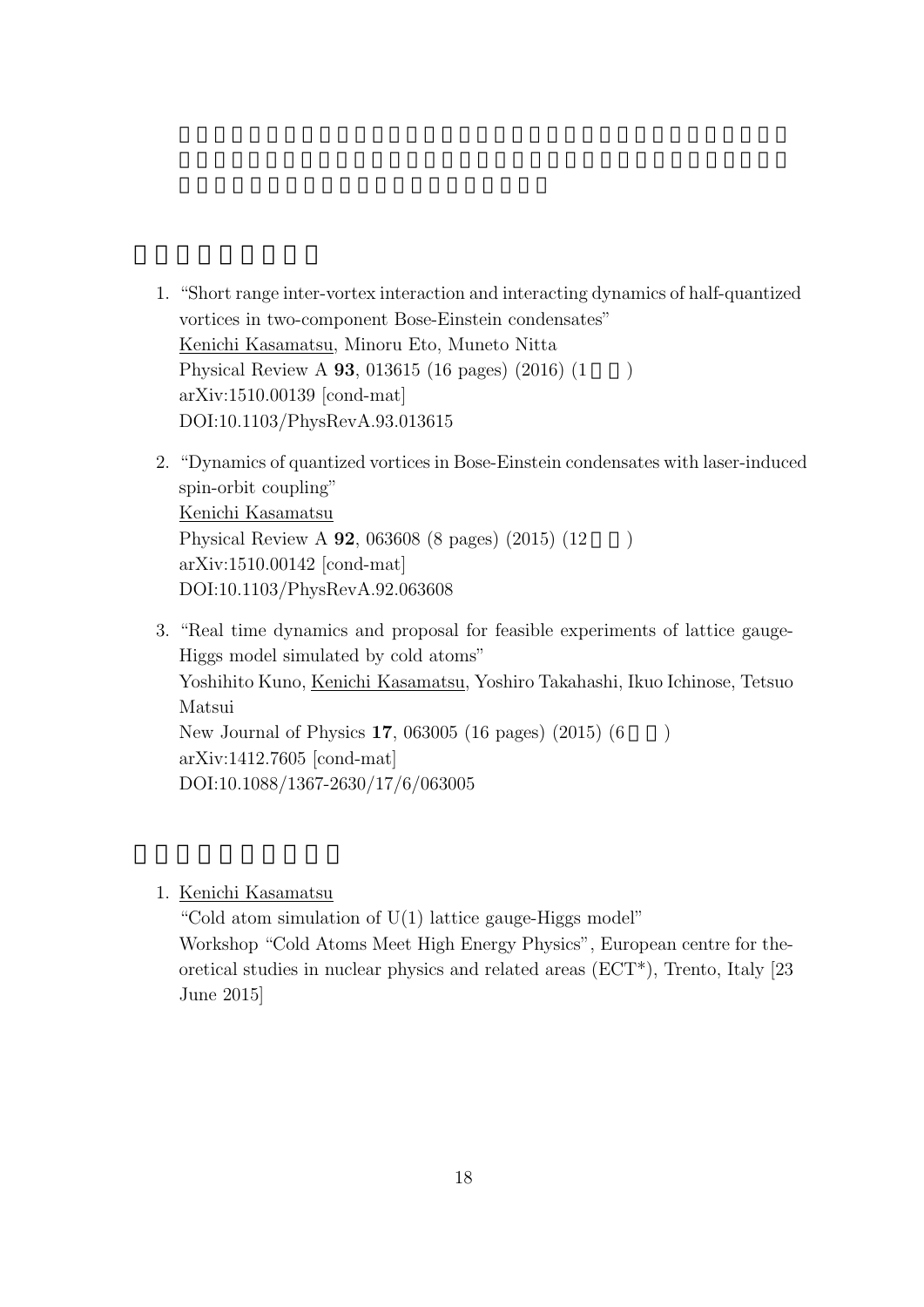- 1. "Short range inter-vortex interaction and interacting dynamics of half-quantized vortices in two-component Bose-Einstein condensates" Kenichi Kasamatsu, Minoru Eto, Muneto Nitta Physical Review A  $93$ , 013615 (16 pages) (2016) (1) arXiv:1510.00139 [cond-mat] DOI:10.1103/PhysRevA.93.013615
- 2. "Dynamics of quantized vortices in Bose-Einstein condensates with laser-induced spin-orbit coupling" Kenichi Kasamatsu Physical Review A **92**, 063608 (8 pages) (2015) (12 ) arXiv:1510.00142 [cond-mat] DOI:10.1103/PhysRevA.92.063608
- 3. "Real time dynamics and proposal for feasible experiments of lattice gauge-Higgs model simulated by cold atoms" Yoshihito Kuno, Kenichi Kasamatsu, Yoshiro Takahashi, Ikuo Ichinose, Tetsuo Matsui New Journal of Physics 17, 063005 (16 pages) (2015) (6 ) arXiv:1412.7605 [cond-mat] DOI:10.1088/1367-2630/17/6/063005
- 1. Kenichi Kasamatsu

"Cold atom simulation of  $U(1)$  lattice gauge-Higgs model" Workshop "Cold Atoms Meet High Energy Physics", European centre for theoretical studies in nuclear physics and related areas (ECT\*), Trento, Italy [23 June 2015]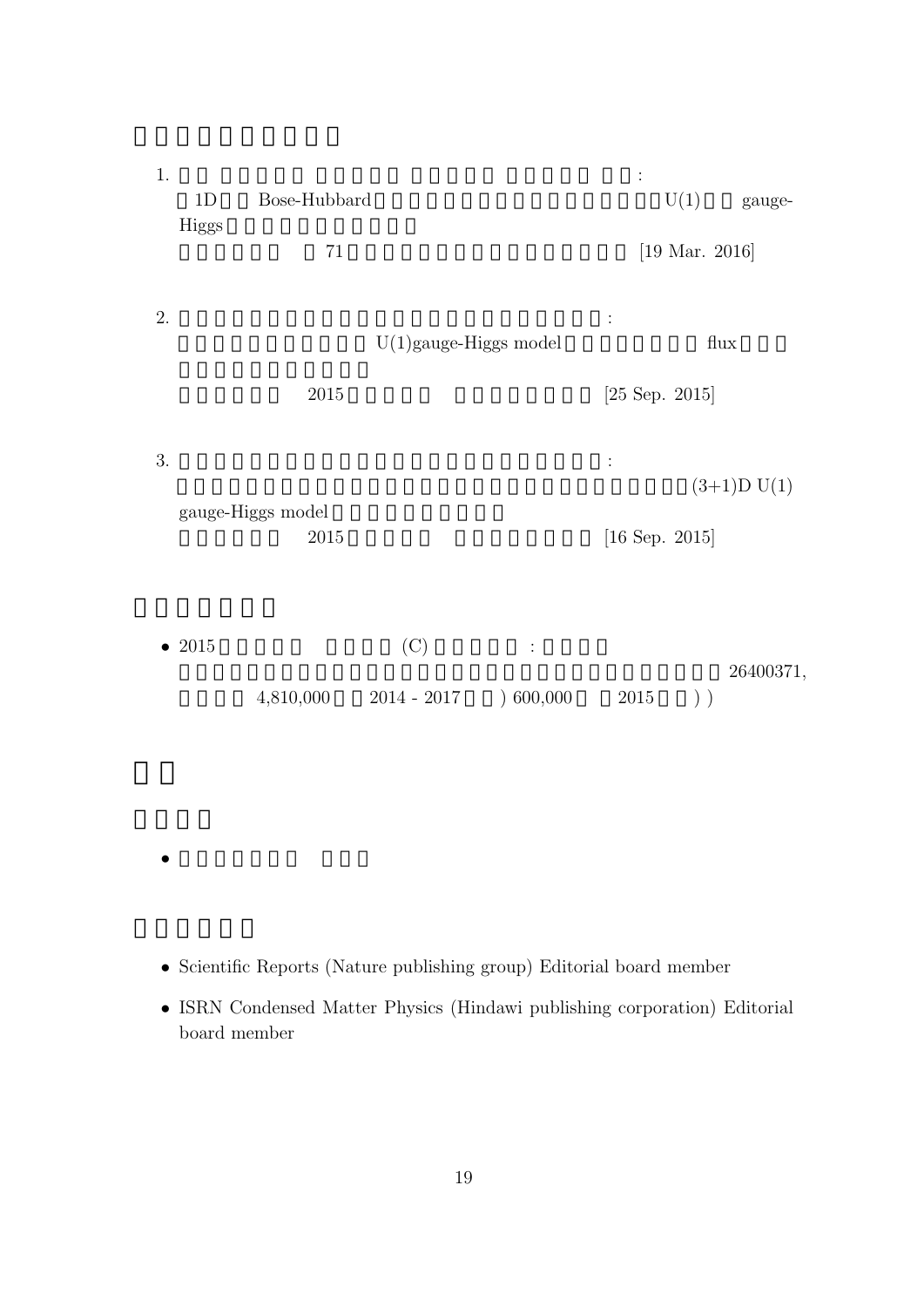| 1. | 1D             | Bose-Hubbard      |                          |                |                      | U(1)                      | gauge-        |
|----|----------------|-------------------|--------------------------|----------------|----------------------|---------------------------|---------------|
|    | Higgs          | $71\,$            |                          |                |                      | $[19 \text{ Mar. } 2016]$ |               |
| 2. |                |                   | $U(1)$ gauge-Higgs model |                | $\ddot{\cdot}$       | flux                      |               |
|    |                | 2015              |                          |                | [ $25$ Sep. $2015$ ] |                           |               |
| 3. |                | gauge-Higgs model |                          |                | :                    |                           | $(3+1)D U(1)$ |
|    |                | $\,2015$          |                          |                | [16 Sep. 2015]       |                           |               |
|    | $\bullet$ 2015 |                   | (C)                      | $\ddot{\cdot}$ |                      |                           | 26400371,     |
|    |                | 4,810,000         | 2014 - 2017              | 0.600,000      | 2015                 | $)$ )                     |               |

*•* 物理学習支援室 世話人

*•* Scientific Reports (Nature publishing group) Editorial board member

*•* ISRN Condensed Matter Physics (Hindawi publishing corporation) Editorial board member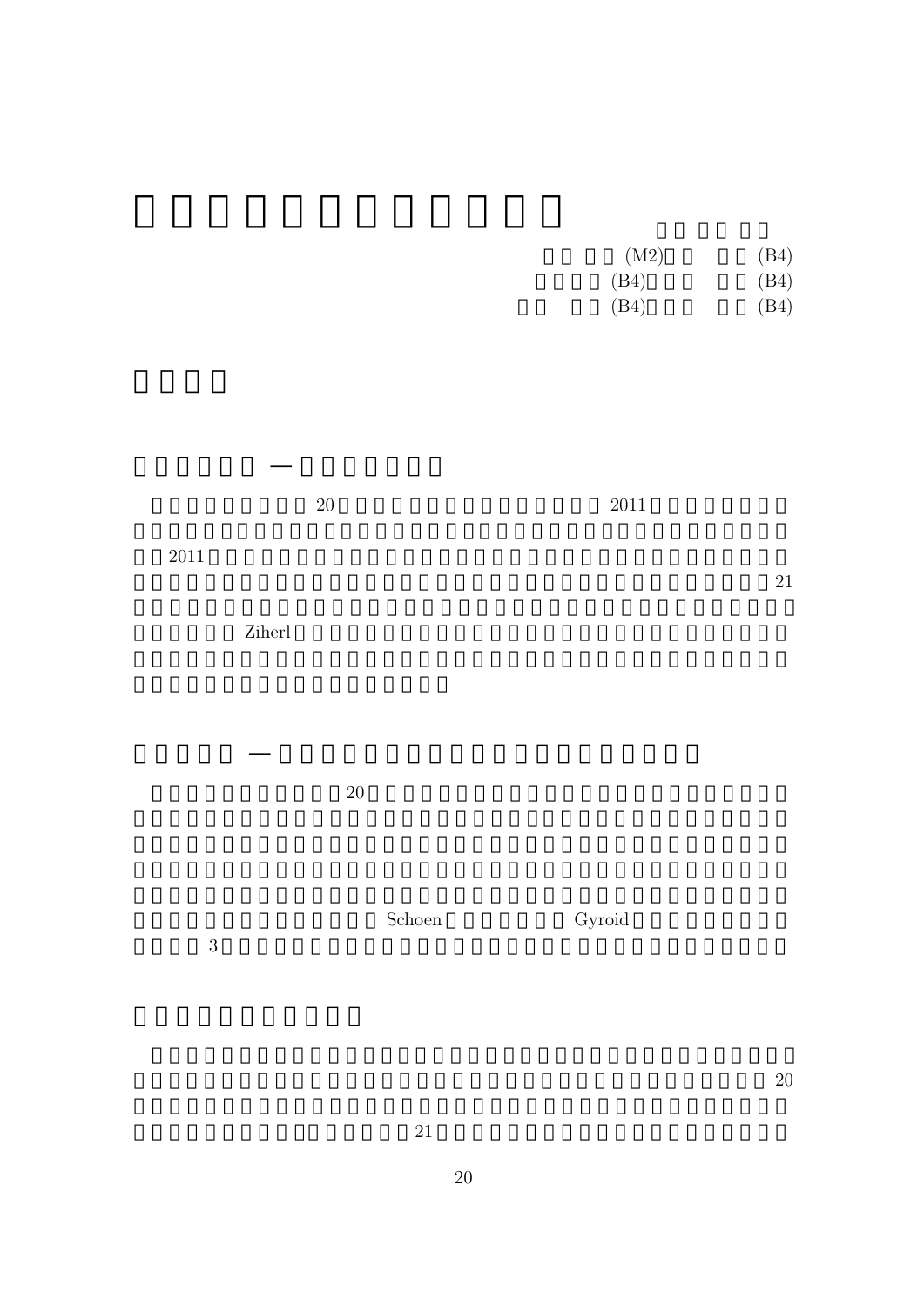| (M2) | (B4) |
|------|------|
| (B4) | (B4) |
| (B4) | (B4) |

 $20 \hspace{1.5cm} 2011$  $2011$  $21$ 

Ziherl **Ziherl Aller** 

 $20$ 

 $Schoen$  Gyroid Gyroid

 $20$ 

 $3$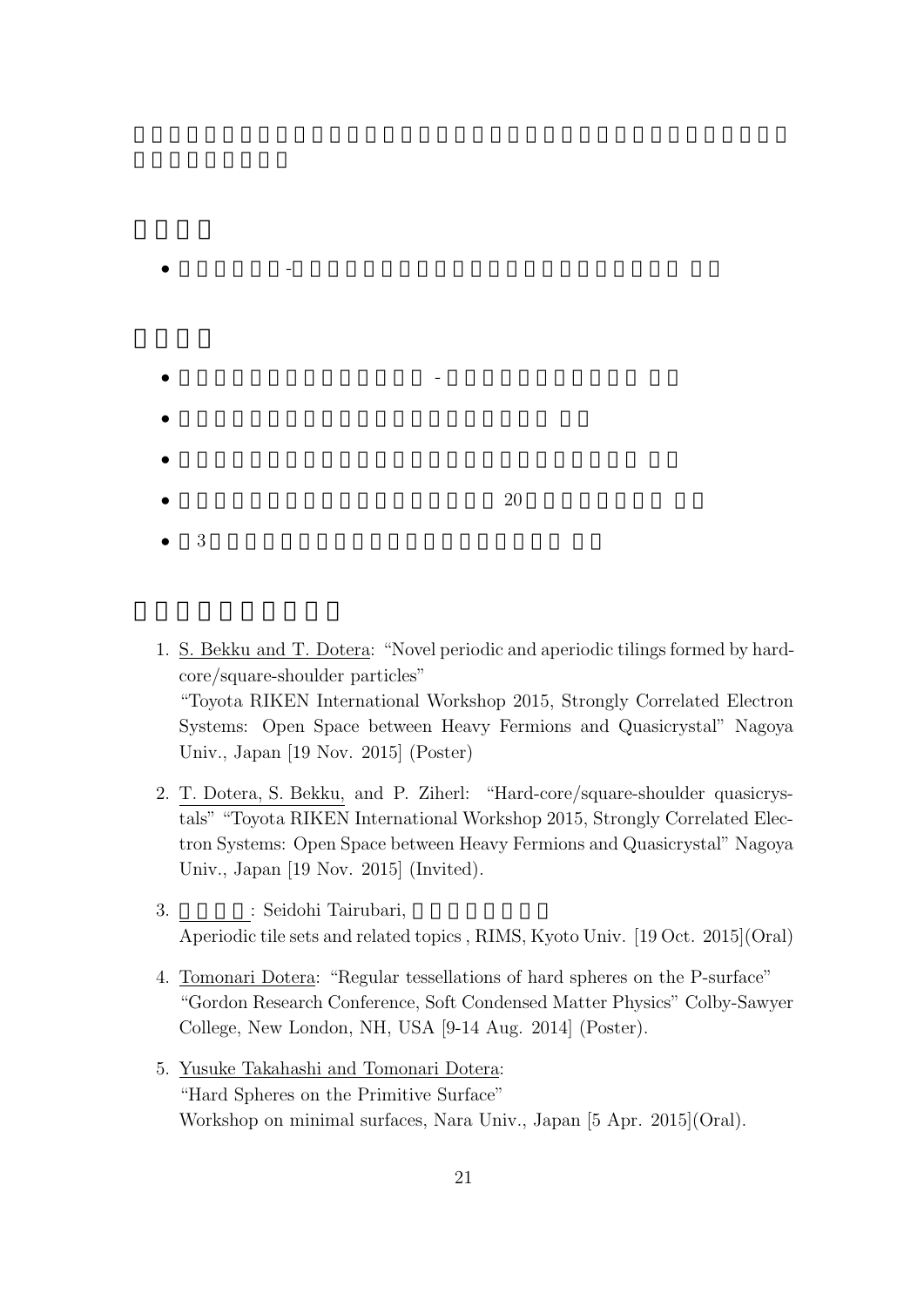- •<br>• The European Group Group Group Group Group Group Group Group Group Group Group Group -•<br>• The contract of the contract of the contract of the contract of the contract of the contract of the contract of
- 
- *•* 「ペンローズ格子の剛体菱形による無秩序・秩序転移」堤 一真
- 3  $\sim$  3  $\sim$  7  $\sim$  7  $\sim$  7  $\sim$  7  $\sim$  7  $\sim$  7  $\sim$  7  $\sim$  7  $\sim$  7  $\sim$  7  $\sim$  7  $\sim$  7  $\sim$  7  $\sim$  7  $\sim$  7  $\sim$  7  $\sim$  7  $\sim$  7  $\sim$  7  $\sim$  7  $\sim$  7  $\sim$  7  $\sim$  7  $\sim$  7  $\sim$  7  $\sim$  7  $\sim$  7  $\sim$  7  $\sim$  7  $\sim$  7
- 1. S. Bekku and T. Dotera: "Novel periodic and aperiodic tilings formed by hardcore/square-shoulder particles" "Toyota RIKEN International Workshop 2015, Strongly Correlated Electron Systems: Open Space between Heavy Fermions and Quasicrystal" Nagoya Univ., Japan [19 Nov. 2015] (Poster)

•<br>• The state of the state of the state of the state of the state of the state of the state of the state of the

• *•*  $20$ 

- 2. T. Dotera, S. Bekku, and P. Ziherl: "Hard-core/square-shoulder quasicrystals" "Toyota RIKEN International Workshop 2015, Strongly Correlated Electron Systems: Open Space between Heavy Fermions and Quasicrystal" Nagoya Univ., Japan [19 Nov. 2015] (Invited).
- 3. Seidohi Tairubari, Aperiodic tile sets and related topics , RIMS, Kyoto Univ. [19 Oct. 2015](Oral)
- 4. Tomonari Dotera: "Regular tessellations of hard spheres on the P-surface" "Gordon Research Conference, Soft Condensed Matter Physics" Colby-Sawyer College, New London, NH, USA [9-14 Aug. 2014] (Poster).
- 5. Yusuke Takahashi and Tomonari Dotera: "Hard Spheres on the Primitive Surface" Workshop on minimal surfaces, Nara Univ., Japan [5 Apr. 2015](Oral).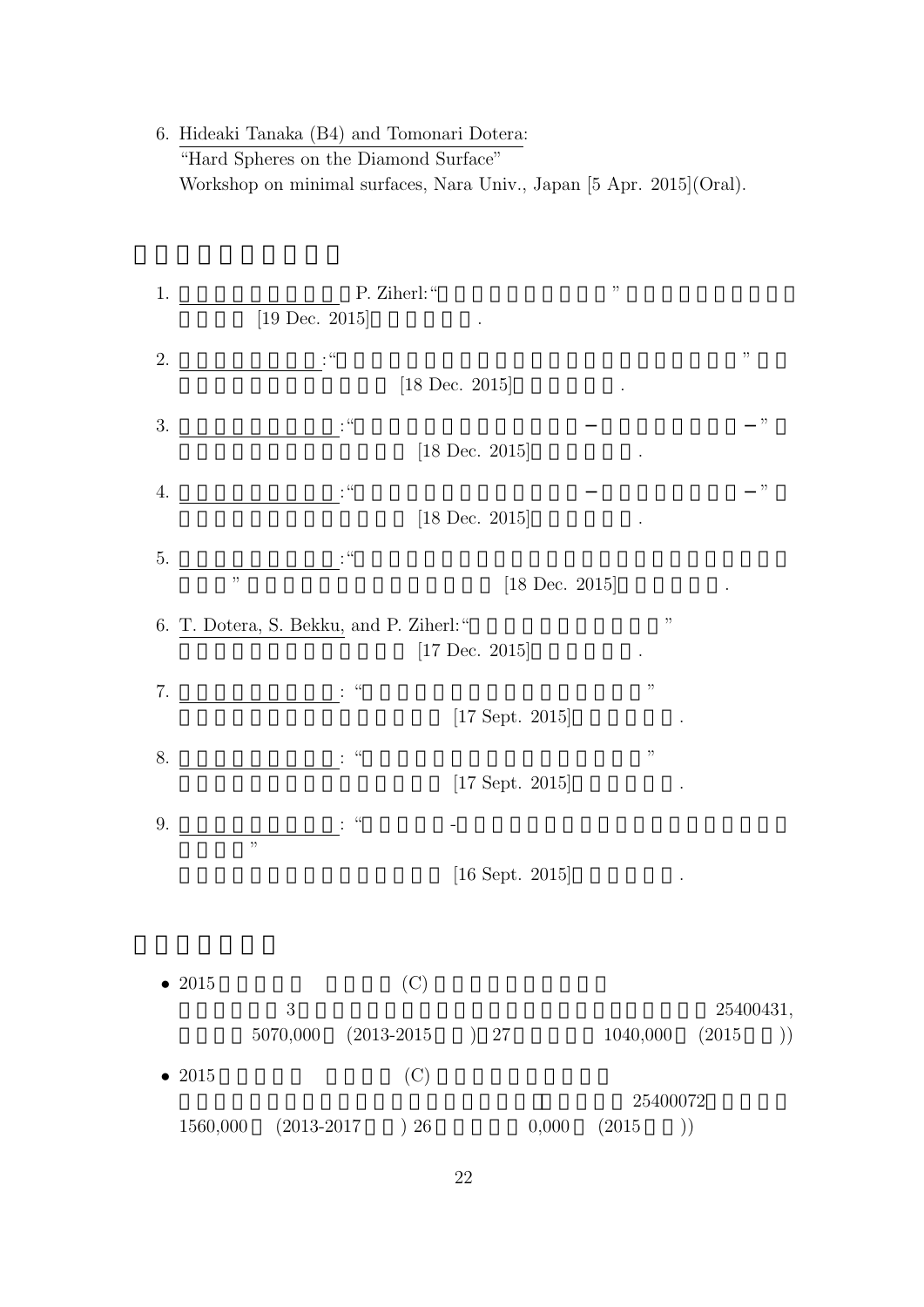6. Hideaki Tanaka (B4) and Tomonari Dotera: "Hard Spheres on the Diamond Surface" Workshop on minimal surfaces, Nara Univ., Japan [5 Apr. 2015](Oral).

| 1. |                                         |                 | P. Ziherl:"           |     |                                        |                            | $, \,$   |           |     |
|----|-----------------------------------------|-----------------|-----------------------|-----|----------------------------------------|----------------------------|----------|-----------|-----|
|    |                                         | [19 Dec. 2015]  |                       |     |                                        |                            |          |           |     |
| 2. |                                         |                 |                       |     |                                        |                            |          | ,,        |     |
|    |                                         |                 |                       |     | [18 Dec. 2015]                         |                            |          |           |     |
| 3. |                                         |                 | $\cdot$ $\cdot$       |     |                                        |                            |          |           | ,,  |
|    |                                         |                 |                       |     | [18 Dec. 2015]                         |                            |          |           |     |
| 4. |                                         |                 | $\cdot$ <sup>44</sup> |     |                                        |                            |          |           | , , |
|    |                                         |                 |                       |     | [18 Dec. 2015]                         |                            |          |           |     |
| 5. |                                         |                 | $\cdot$ $\cdot$       |     |                                        |                            |          |           |     |
|    | $, ,$                                   |                 |                       |     |                                        | [18 Dec. 2015]             |          |           |     |
|    | 6. T. Dotera, S. Bekku, and P. Ziherl:" |                 |                       |     |                                        |                            | ,,       |           |     |
|    |                                         |                 |                       |     | [17 Dec. $2015$ ]                      |                            |          |           |     |
|    | 7.                                      |                 | $\sim$                |     |                                        |                            | $, \,$   |           |     |
|    |                                         |                 |                       |     |                                        | $[17 \text{ Sept. } 2015]$ |          |           |     |
| 8. |                                         |                 | $\mathcal{C}$         |     |                                        |                            | $, \,$   |           |     |
|    |                                         |                 |                       |     |                                        | $[17 \text{ Sept. } 2015]$ |          |           |     |
| 9. |                                         |                 | "                     |     |                                        |                            |          |           |     |
|    | ,                                       |                 |                       |     |                                        |                            |          |           |     |
|    |                                         |                 |                       |     |                                        | $[16$ Sept. 2015]          |          |           |     |
|    |                                         |                 |                       |     |                                        |                            |          |           |     |
|    |                                         |                 |                       |     |                                        |                            |          |           |     |
|    | $\bullet$ 2015                          |                 |                       | (C) |                                        |                            |          |           |     |
|    |                                         | $\mathfrak{Z}$  |                       |     |                                        |                            |          | 25400431, |     |
|    |                                         | 5070,000        | $(2013 - 2015)$       |     | $27\,$<br>$\left( \frac{1}{2} \right)$ |                            | 1040,000 | (2015)    | ))  |
|    | 2015                                    |                 |                       | (C) |                                        |                            |          |           |     |
|    |                                         |                 |                       |     |                                        |                            | 25400072 |           |     |
|    | 1560,000                                | $(2013 - 2017)$ |                       | )26 |                                        | 0,000                      | (2015)   | ))        |     |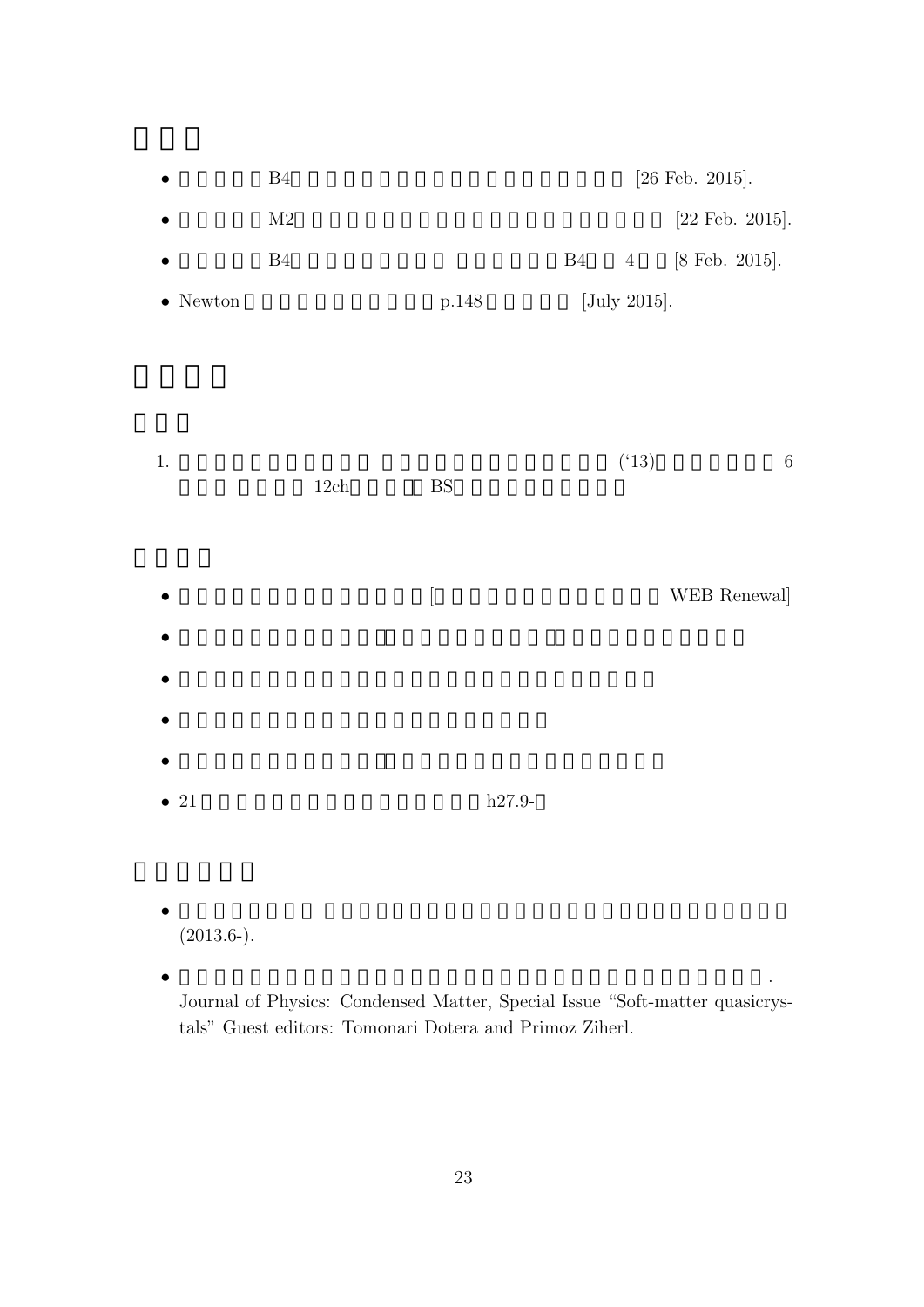- **• 126 Feb. 2015**. *•*  $\frac{1}{22}$  Feb. 2015]. *•* 高橋佑輔(B4)卒研発表賞第1位 (大野優太(B4)同 4 位)[8 Feb. 2015].
- Newton **p.148** [July 2015].



*•* 科学技術振興機構 さきがけ「超空間制御と革新的機能創成」領域アドバイザー  $(2013.6-).$ 

*•* 物理学専門誌のゲスト編集者:ソフトマター準結晶分野の研究者の総結集. Journal of Physics: Condensed Matter, Special Issue "Soft-matter quasicrystals" Guest editors: Tomonari Dotera and Primoz Ziherl.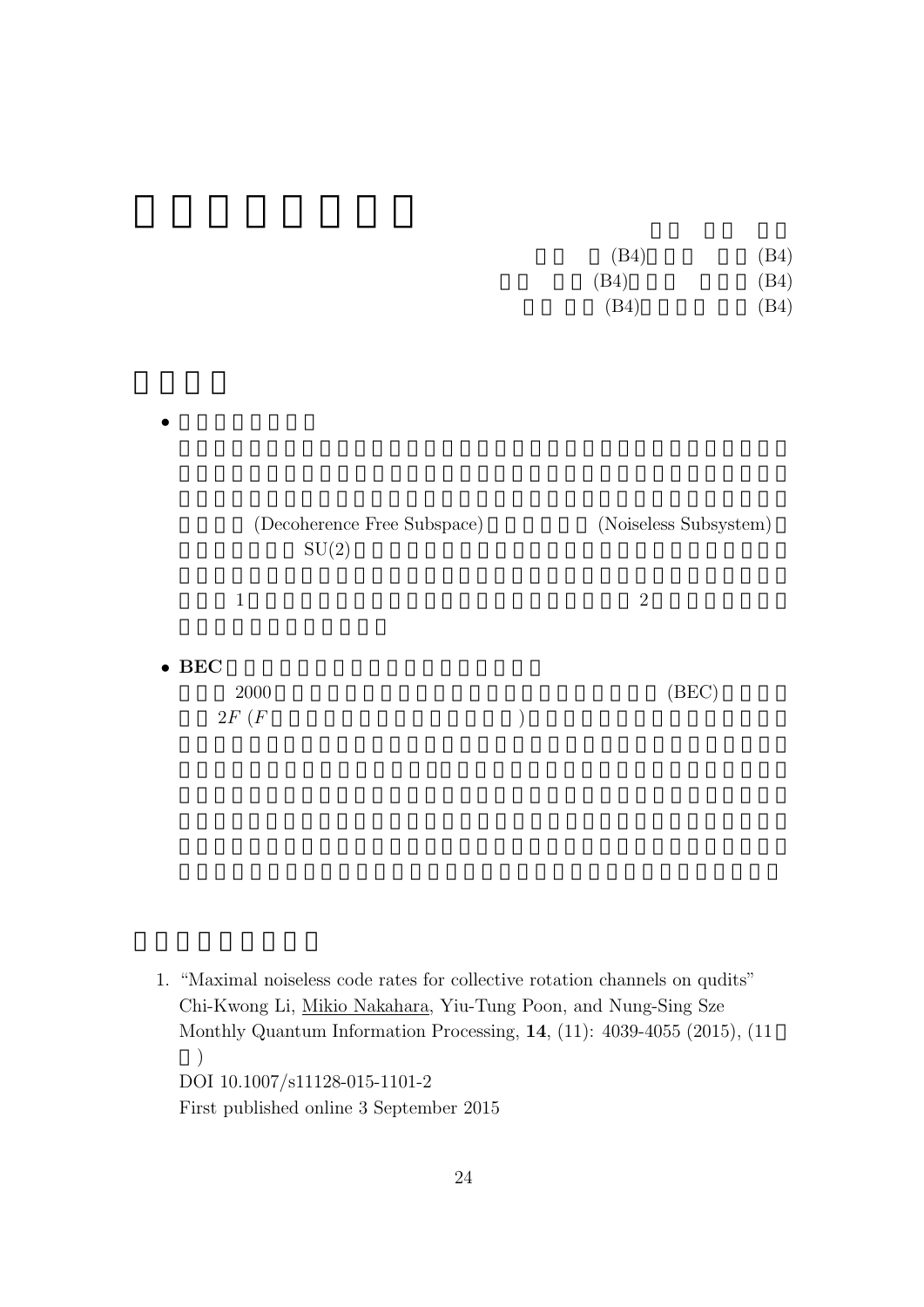| (B4) | (B4) |
|------|------|
| (B4) | (B4) |
| (B4) | (B4) |

| (Decoherence Free Subspace)<br>SU(2) | (Noiseless Subsystem) |
|--------------------------------------|-----------------------|
|                                      | 2                     |
| $\bullet$ BEC<br>2000<br>2F(F)       | (BEC)                 |

•  $\bullet$ 

1. "Maximal noiseless code rates for collective rotation channels on qudits" Chi-Kwong Li, Mikio Nakahara, Yiu-Tung Poon, and Nung-Sing Sze Monthly Quantum Information Processing, **14**, (11): 4039-4055 (2015), (11 ) DOI 10.1007/s11128-015-1101-2 First published online 3 September 2015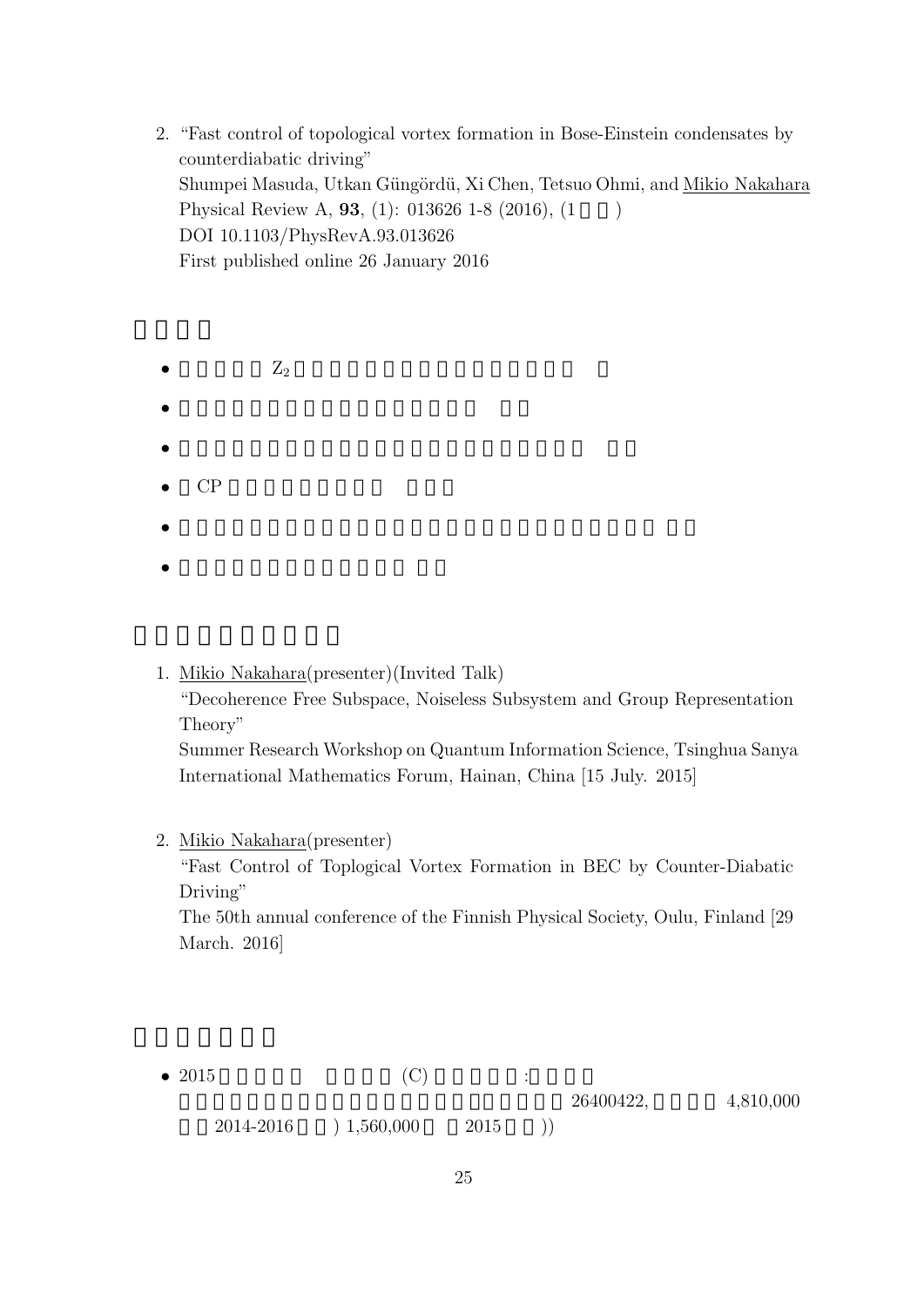- 2. "Fast control of topological vortex formation in Bose-Einstein condensates by counterdiabatic driving" Shumpei Masuda, Utkan Güngördü, Xi Chen, Tetsuo Ohmi, and Mikio Nakahara Physical Review A,  $93$ , (1): 013626 1-8 (2016), (1) DOI 10.1103/PhysRevA.93.013626 First published online 26 January 2016
- $Z_2$
- •<br>• The contract of the contract of the contract of the contract of the contract of the contract of the contract of
- •<br>• The state  $\mathcal{L}_{\text{max}}$
- 
- CP  $\bullet$
- •<br>• The state of the state of the state of the state of the state of the state of the state of the state of the
- **•** The state  $\mathbf{z} = \mathbf{z} \cdot \mathbf{z} + \mathbf{z} \cdot \mathbf{z} + \mathbf{z} \cdot \mathbf{z} + \mathbf{z} \cdot \mathbf{z} + \mathbf{z} \cdot \mathbf{z} + \mathbf{z} \cdot \mathbf{z} + \mathbf{z} \cdot \mathbf{z} + \mathbf{z} \cdot \mathbf{z} + \mathbf{z} \cdot \mathbf{z} + \mathbf{z} \cdot \mathbf{z} + \mathbf{z} \cdot \mathbf{z} + \mathbf{z} \cdot \mathbf{z} + \mathbf{z} \cdot \mathbf{z} + \mathbf$
- 1. Mikio Nakahara(presenter)(Invited Talk)

"Decoherence Free Subspace, Noiseless Subsystem and Group Representation Theory"

Summer Research Workshop on Quantum Information Science, Tsinghua Sanya International Mathematics Forum, Hainan, China [15 July. 2015]

## 2. Mikio Nakahara(presenter)

"Fast Control of Toplogical Vortex Formation in BEC by Counter-Diabatic Driving"

The 50th annual conference of the Finnish Physical Society, Oulu, Finland [29 March. 2016]

• 2015 (C)  $\qquad \qquad :$ リー代数を用いた非断熱量子制御の研究(課題番号26400422, 総配分額 4,810,000  $2014-2016$   $1,560,000$   $2015$  )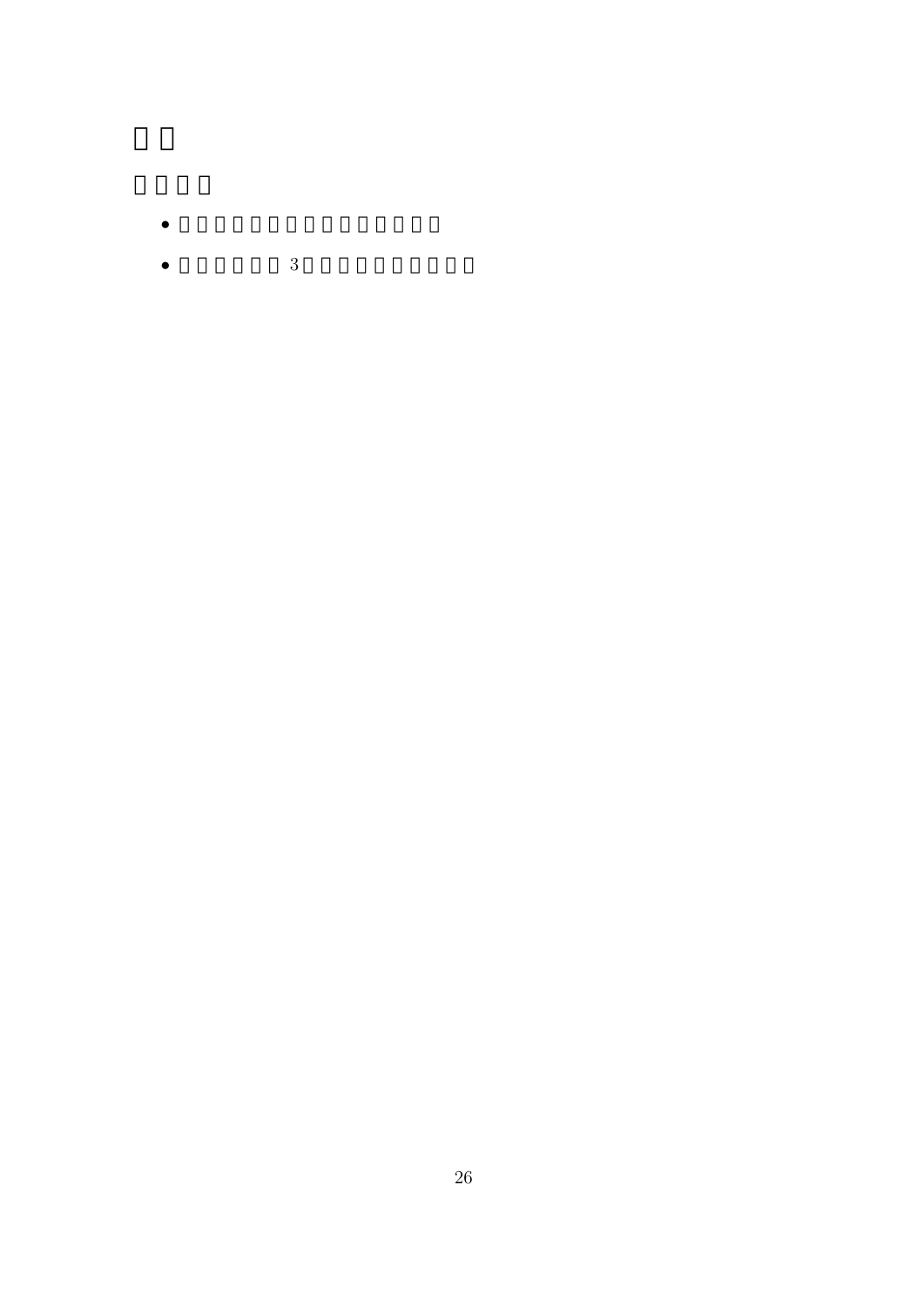- *•* 自己点検・評価委員(前、後期)
- 3 **3 3 1**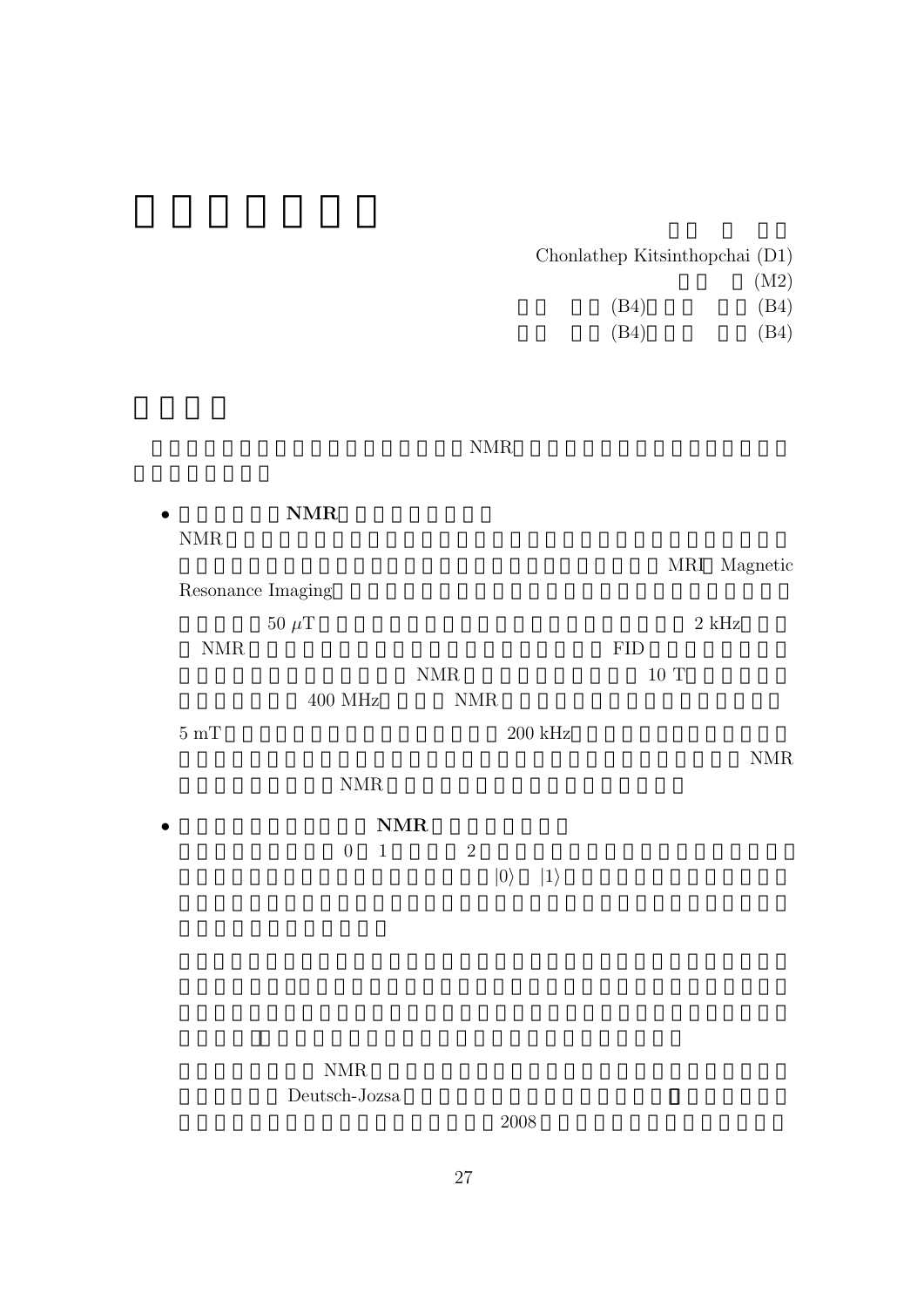| Chonlathep Kitsinthopchai (D1) |      |
|--------------------------------|------|
|                                | (M2) |
| (B4)                           | (B4) |
| (B4)                           | (B4) |

## $NMR$

| <b>NMR</b>        |                                |                          |            |              |
|-------------------|--------------------------------|--------------------------|------------|--------------|
| <b>NMR</b>        |                                |                          |            |              |
| Resonance Imaging |                                |                          |            | MRI Magnetic |
| 50 $\mu$ T        |                                |                          |            | $2$ kHz      |
| <b>NMR</b>        |                                |                          | <b>FID</b> |              |
|                   |                                | <b>NMR</b>               | $10 T$     |              |
|                   | $400$ MHz                      | <b>NMR</b>               |            |              |
| $5\ \mathrm{mT}$  |                                | $200$ kHz                |            |              |
|                   |                                |                          |            | <b>NMR</b>   |
|                   | <b>NMR</b>                     |                          |            |              |
|                   | <b>NMR</b>                     |                          |            |              |
|                   | $\overline{0}$<br>$\mathbf{1}$ | $\overline{2}$           |            |              |
|                   |                                | $\ket{0}$<br>$ 1\rangle$ |            |              |

NMR  $\mathbb{N}$  ${\rm Deutsch\hbox{-}Jozsa}$ 

 $2008$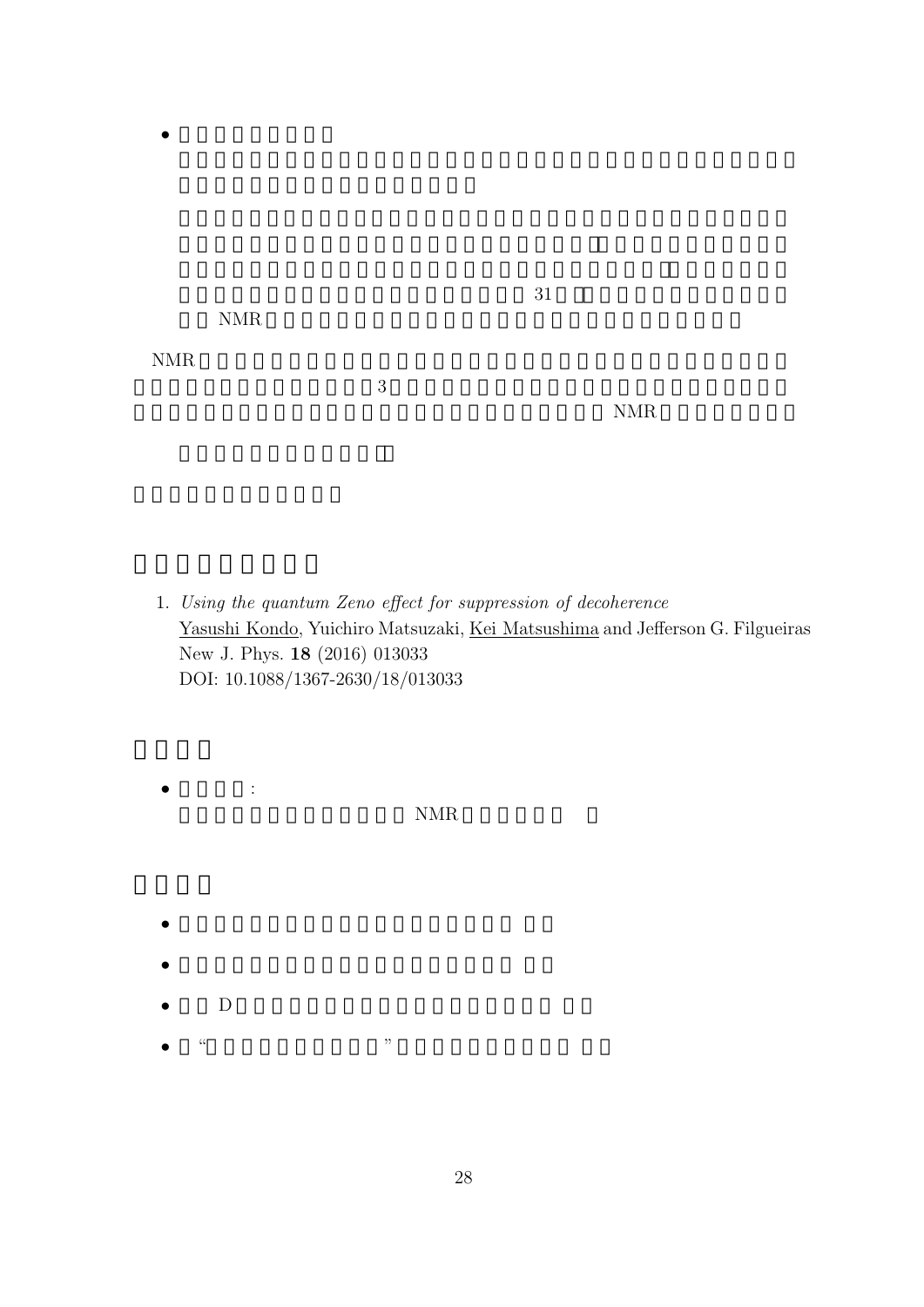$31$ 

 $NMR$ 

 $NMR$ 

*•* 学生実験装置の開発

 $3$ 

 $NMR$ 

1. *Using the quantum Zeno effect for suppression of decoherence* Yasushi Kondo, Yuichiro Matsuzaki, Kei Matsushima and Jefferson G. Filgueiras New J. Phys. **18** (2016) 013033 DOI: 10.1088/1367-2630/18/013033

*•* 修士論文: NMR •<br>• The state of the state of the state of the state of the state of the state of the state of the state of the •<br>• The state is the state in the state is the state in the state is the state in the state in the state is the • D D  $\blacksquare$ *•* "クリップモーター製作" 実験の手引き書」渡邉 尚樹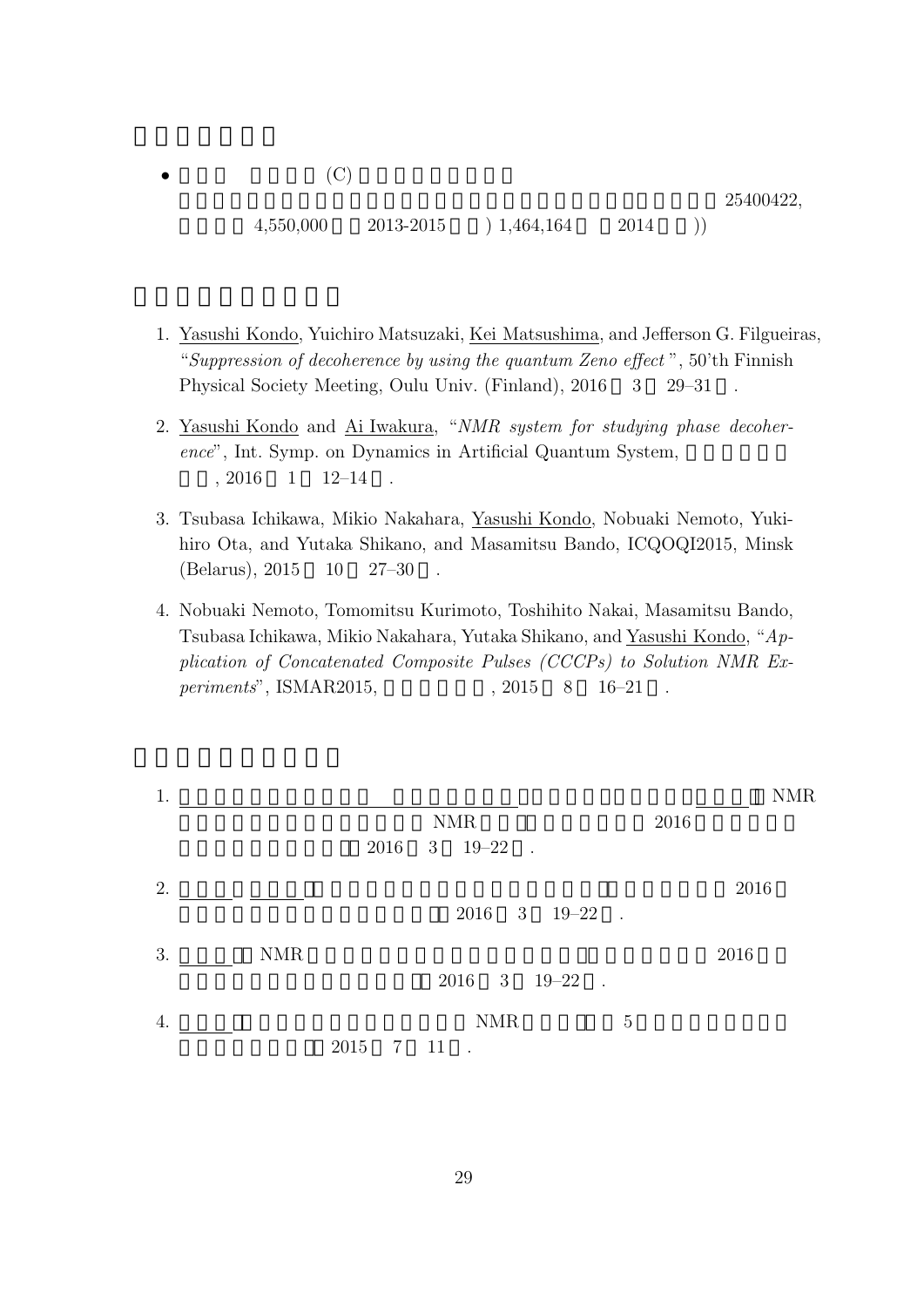#### 25400422,

•  $\times$  (C)

 $4,550,000$   $2013-2015$   $1,464,164$   $2014$   $1)$ 

- 1. Yasushi Kondo, Yuichiro Matsuzaki, Kei Matsushima, and Jefferson G. Filgueiras, "*Suppression of decoherence by using the quantum Zeno effect* ", 50'th Finnish Physical Society Meeting, Oulu Univ. (Finland), 2016 . 3 . 29–31
- 2. Yasushi Kondo and Ai Iwakura, "*NMR system for studying phase decoherence*", Int. Symp. on Dynamics in Artificial Quantum System, 場), 2016 1 12–14 .
- 3. Tsubasa Ichikawa, Mikio Nakahara, Yasushi Kondo, Nobuaki Nemoto, Yukihiro Ota, and Yutaka Shikano, and Masamitsu Bando, ICQOQI2015, Minsk (Belarus), 2015 10 27–30 .
- 4. Nobuaki Nemoto, Tomomitsu Kurimoto, Toshihito Nakai, Masamitsu Bando, Tsubasa Ichikawa, Mikio Nakahara, Yutaka Shikano, and Yasushi Kondo, "*Application of Concatenated Composite Pulses (CCCPs) to Solution NMR Experiments*", ISMAR2015,  $\qquad \qquad$ , 2015 8 16–21 .

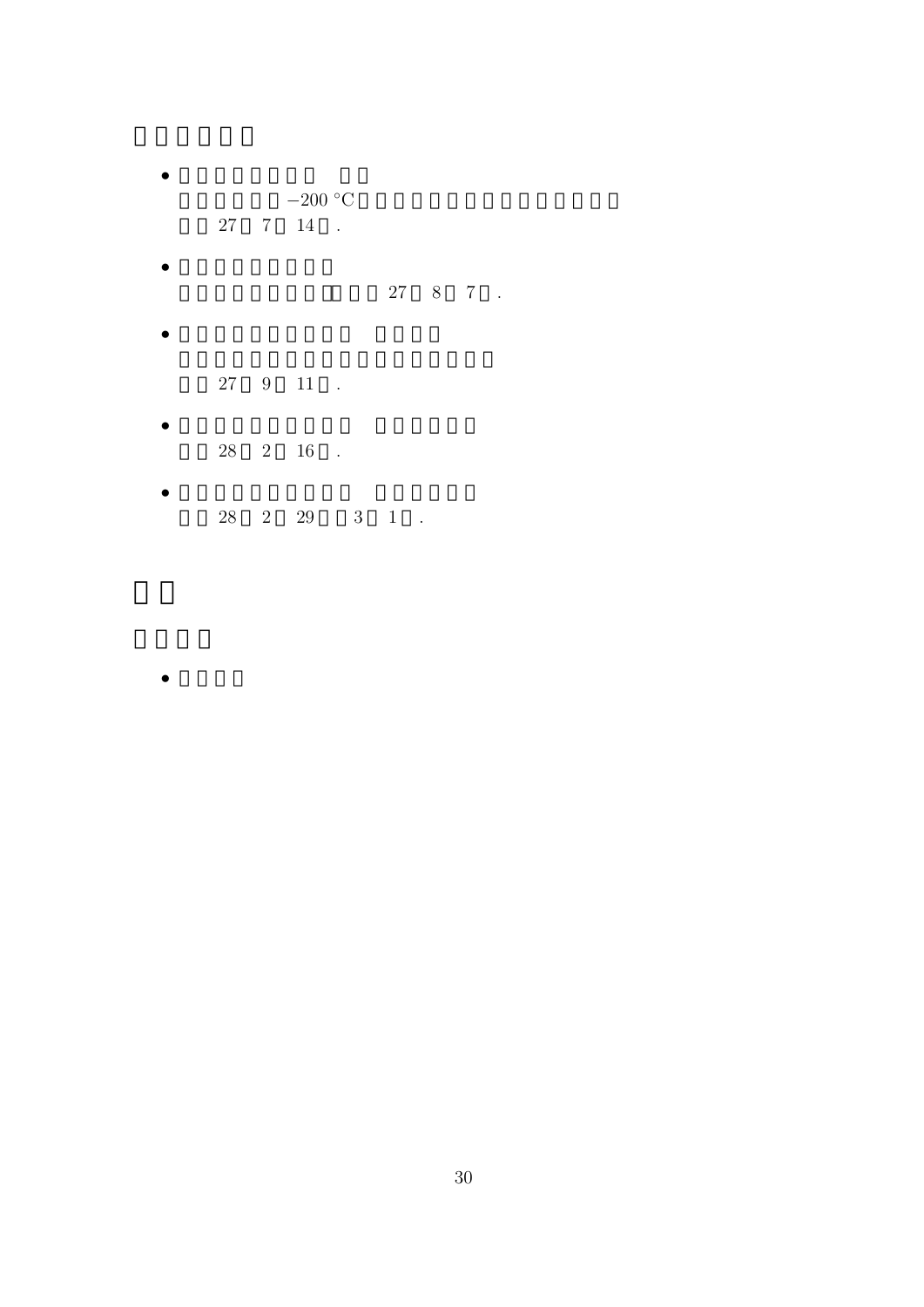• **•**  $\mathbf{r} = \mathbf{r} \cdot \mathbf{r}$  $-200$  <sup></sup>°C 平成 27 7 14 .

*•* 教員免許更新講習会

- 27 8 7 .
- *•* 東大阪市・弥刀中学校 出張実験
	- $27 \t 9 \t 11$  .
- *•* 東大阪市・若江中学校 出張実験補助  $28 \quad 2 \quad 16 \quad .$

*•* 予算委員

*•* 東大阪市・弥刀中学校 出張実験補助  $28 \t 2 \t 29 \t 3 \t 1$ .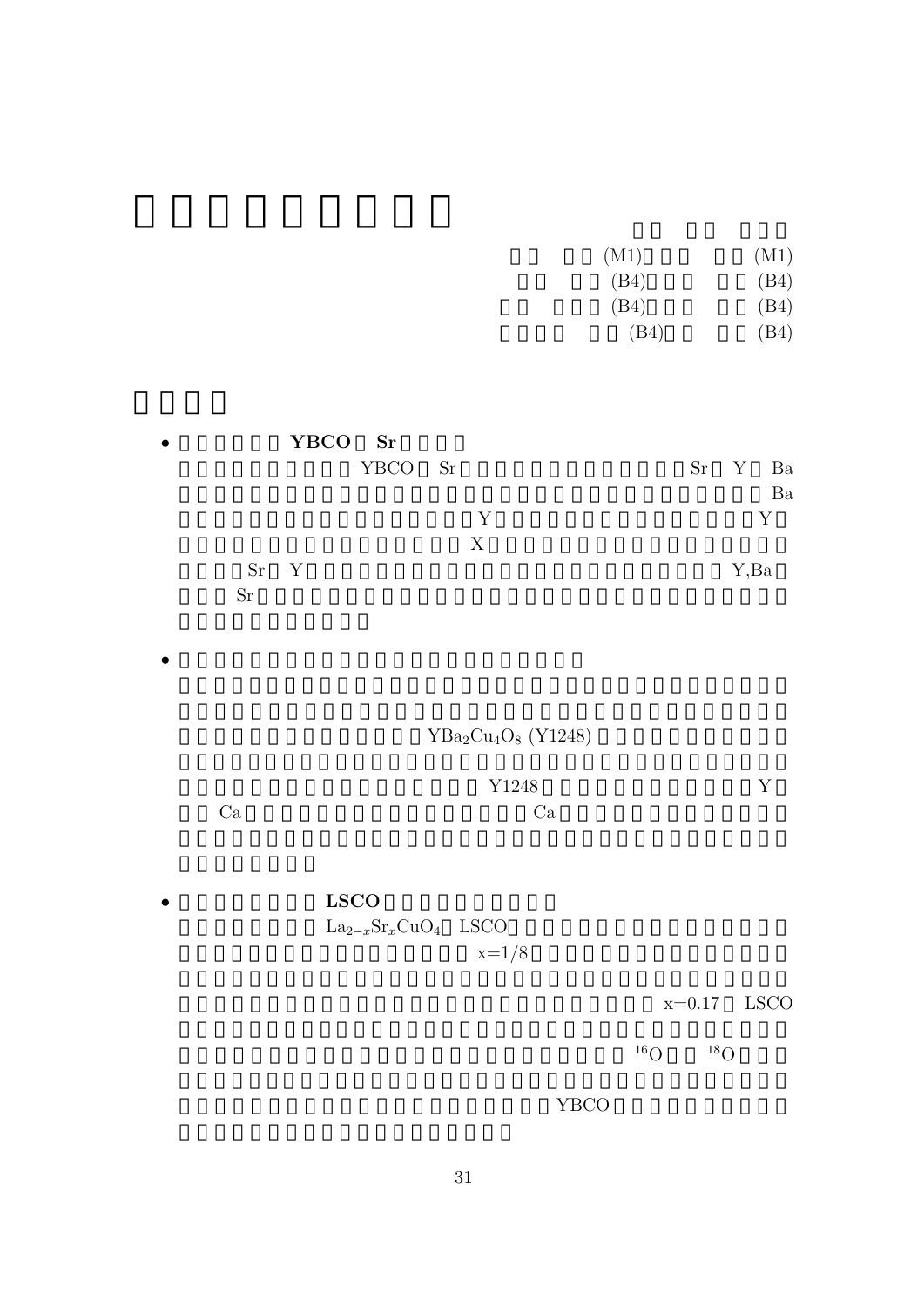| (M1) | (M1) |
|------|------|
| (B4) | (B4) |
| (B4) | (B4) |
| (B4) | (B4) |

| $\bullet$ |      | YBCO Sr |         |   |         |    |
|-----------|------|---------|---------|---|---------|----|
|           |      |         | YBCO Sr |   | Sr Y Ba |    |
|           |      |         |         |   |         | Ba |
|           |      |         |         | Y |         | Y  |
|           |      |         |         | X |         |    |
|           | Sr Y |         |         |   | Y, Ba   |    |
|           | Sr   |         |         |   |         |    |
|           |      |         |         |   |         |    |

*•* アルカリフラックスによる銅酸化物超伝導体の育成

 $YBa<sub>2</sub>Cu<sub>4</sub>O<sub>8</sub>$  (Y1248)

|    | Y1248 |  |
|----|-------|--|
| Ca | Сa    |  |

• **LSCO**  $La<sub>2−x</sub>Sr<sub>x</sub>CuO<sub>4</sub>$  LSCO<br>x=1/8  $x=1/8$ 

 $x=0.17$  LSCO

 $16$ O  $18$ O

YBCO <sub>2</sub>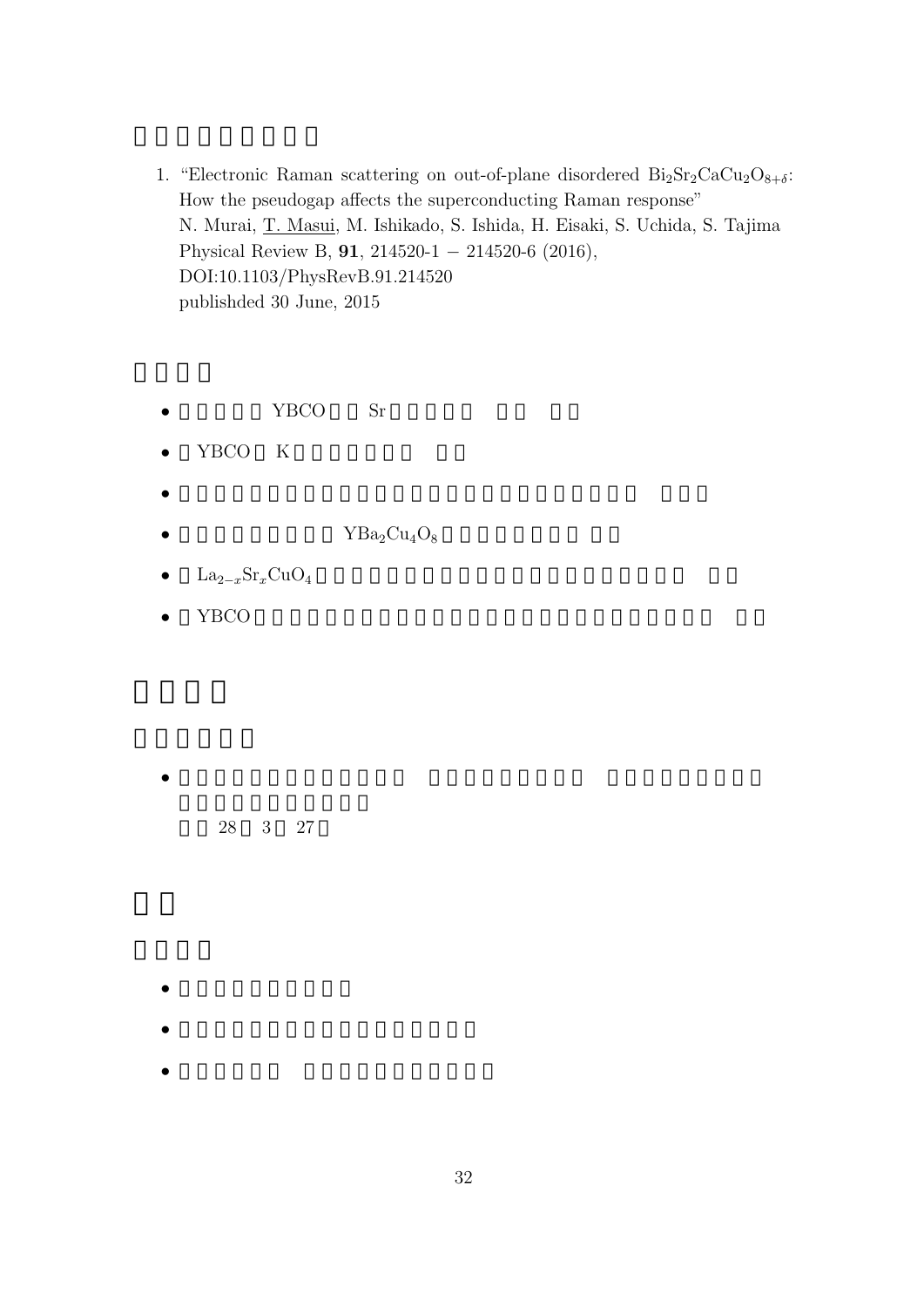- 1. "Electronic Raman scattering on out-of-plane disordered  $Bi_2Sr_2CaCu_2O_{8+\delta}$ : How the pseudogap affects the superconducting Raman response" N. Murai, T. Masui, M. Ishikado, S. Ishida, H. Eisaki, S. Uchida, S. Tajima Physical Review B, **91**, 214520-1 *−* 214520-6 (2016), DOI:10.1103/PhysRevB.91.214520 publishded 30 June, 2015
- *•* YBCO Sr
- *•* YBCO K 置換効果」大迫 彩花
- •<br>• The construction of the construction of the construction of the construction of the construction of the construction of the construction of the construction of the construction of the construction of the construction o
- $YBa<sub>2</sub>Cu<sub>4</sub>O<sub>8</sub>$
- *•* La<sup>2</sup>*−<sup>x</sup>*Sr*x*CuO<sup>4</sup> 銅酸化物超伝導体の酸素同位体置換効果」若宮 恵里
- YBCO **being the same way to a set of the same of the same of the same of the same of the same of the same of the same of the same of the same of the same of the same of the same of the same of the same of the same of the**
- •<br>• The state the state three state three state three state three states  $\mathbb{R}^n$

平成 28 3 27

*•* 施設設備委員(後期)

*•* オープンキャンパス委員(前、後期)

• **•**  $\bullet$  ,  $\bullet$  ,  $\bullet$  ,  $\bullet$  ,  $\bullet$  ,  $\bullet$  ,  $\bullet$  ,  $\bullet$  ,  $\bullet$  ,  $\bullet$  ,  $\bullet$  ,  $\bullet$  ,  $\bullet$  ,  $\bullet$  ,  $\bullet$  ,  $\bullet$  ,  $\bullet$  ,  $\bullet$  ,  $\bullet$  ,  $\bullet$  ,  $\bullet$  ,  $\bullet$  ,  $\bullet$  ,  $\bullet$  ,  $\bullet$  ,  $\bullet$  ,  $\bullet$  ,  $\bullet$  ,  $\bullet$  ,  $\bullet$  ,  $\bullet$  ,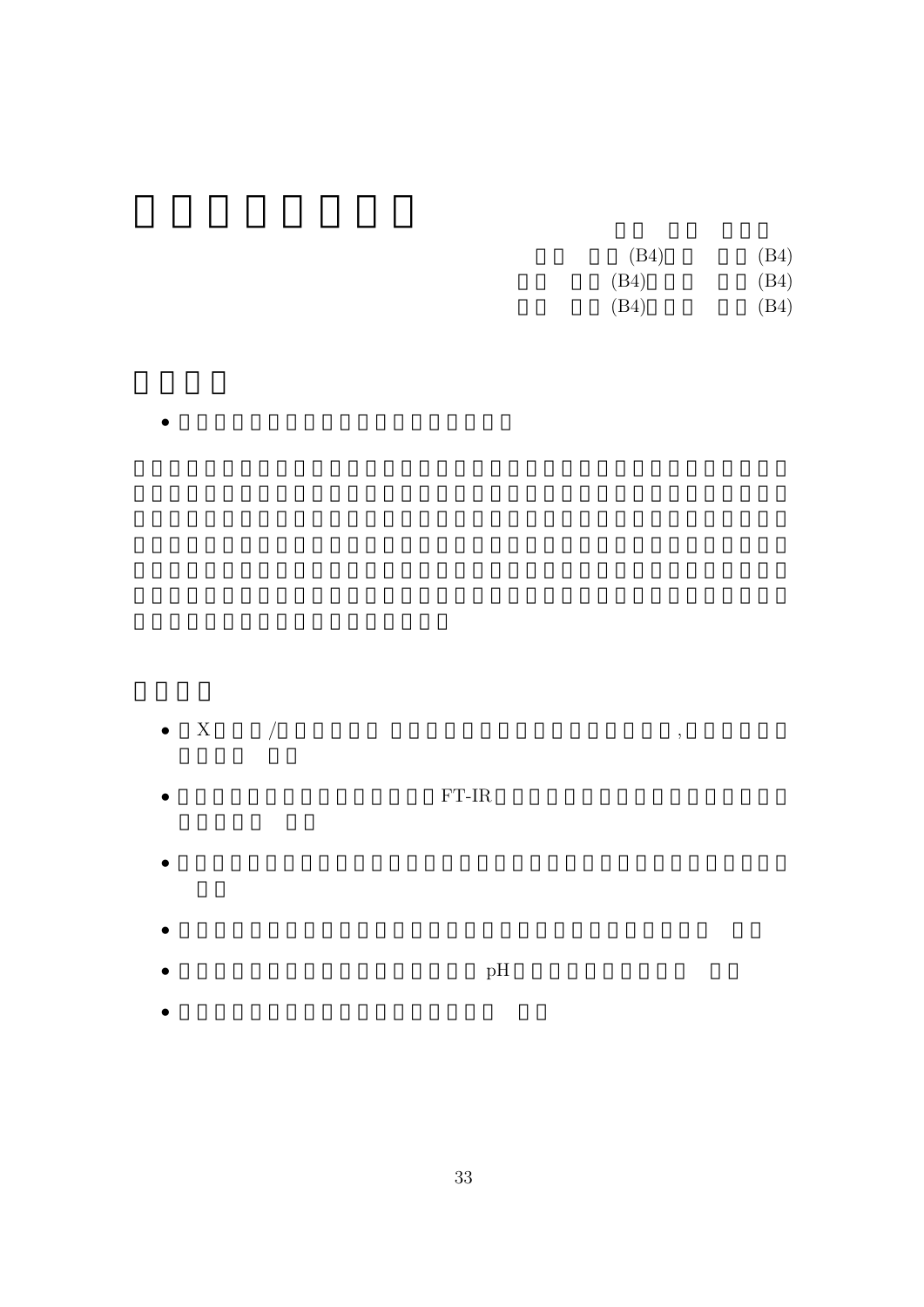| (B4) | (B4) |
|------|------|
| (B4) | (B4) |
| (B4) | (B4) |

- X  $/$   $\,$   $\,$
- ◆ **•** FT-IR

*•* タンパク質の界面吸着ダイナミクスの観測

- •<br>• The state of the state of the state of the state of the state of the state of the state of the state of the
- 
- •<br>• The contract of the contract of the contract of the contract of the contract of the contract of the contract
- The pH  $\mathbf{p}$  pH
- •<br>• The contract of the contract of the contract of the contract of the contract of the contract of the contract of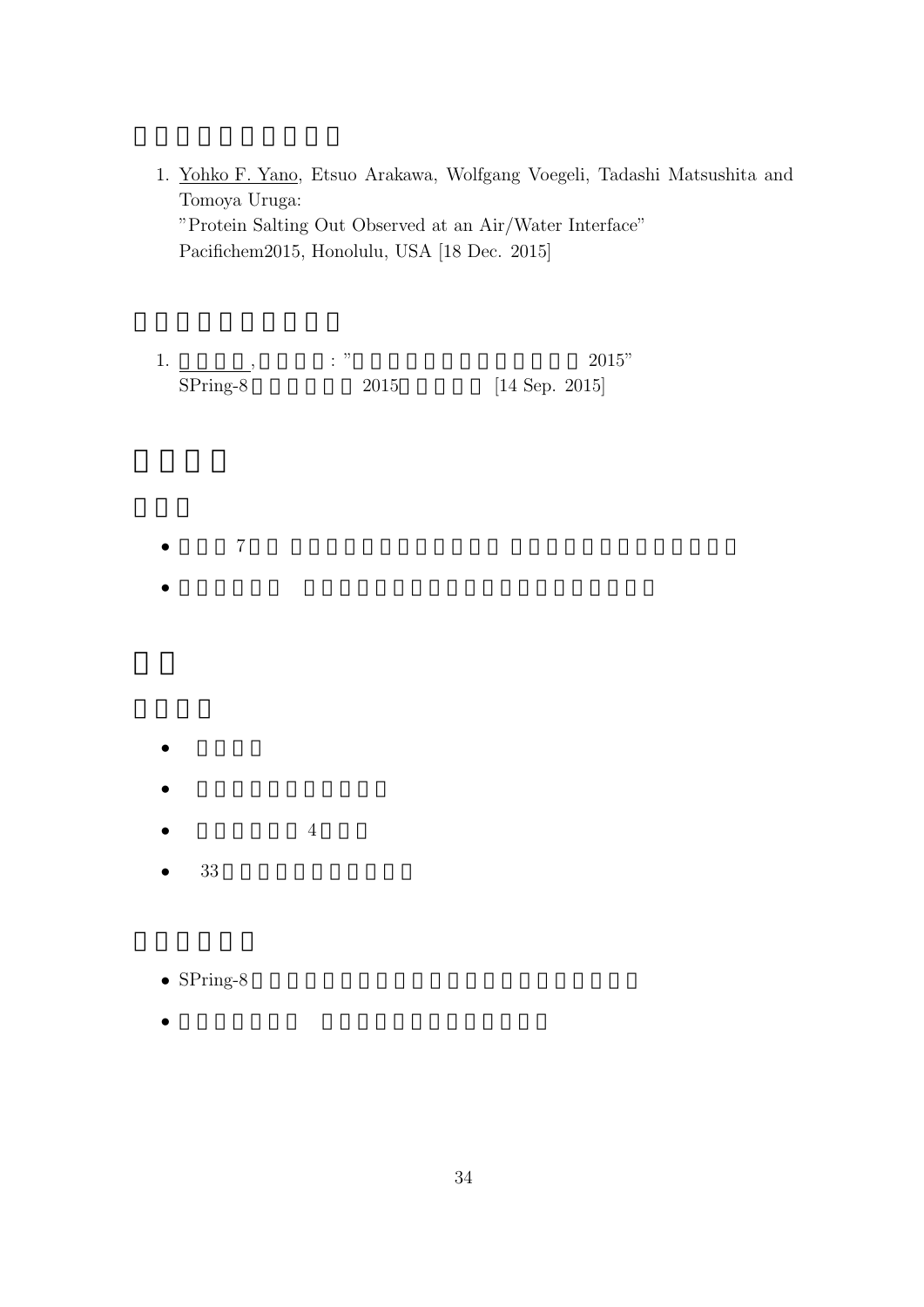1. Yohko F. Yano, Etsuo Arakawa, Wolfgang Voegeli, Tadashi Matsushita and Tomoya Uruga: "Protein Salting Out Observed at an Air/Water Interface" Pacifichem2015, Honolulu, USA [18 Dec. 2015]

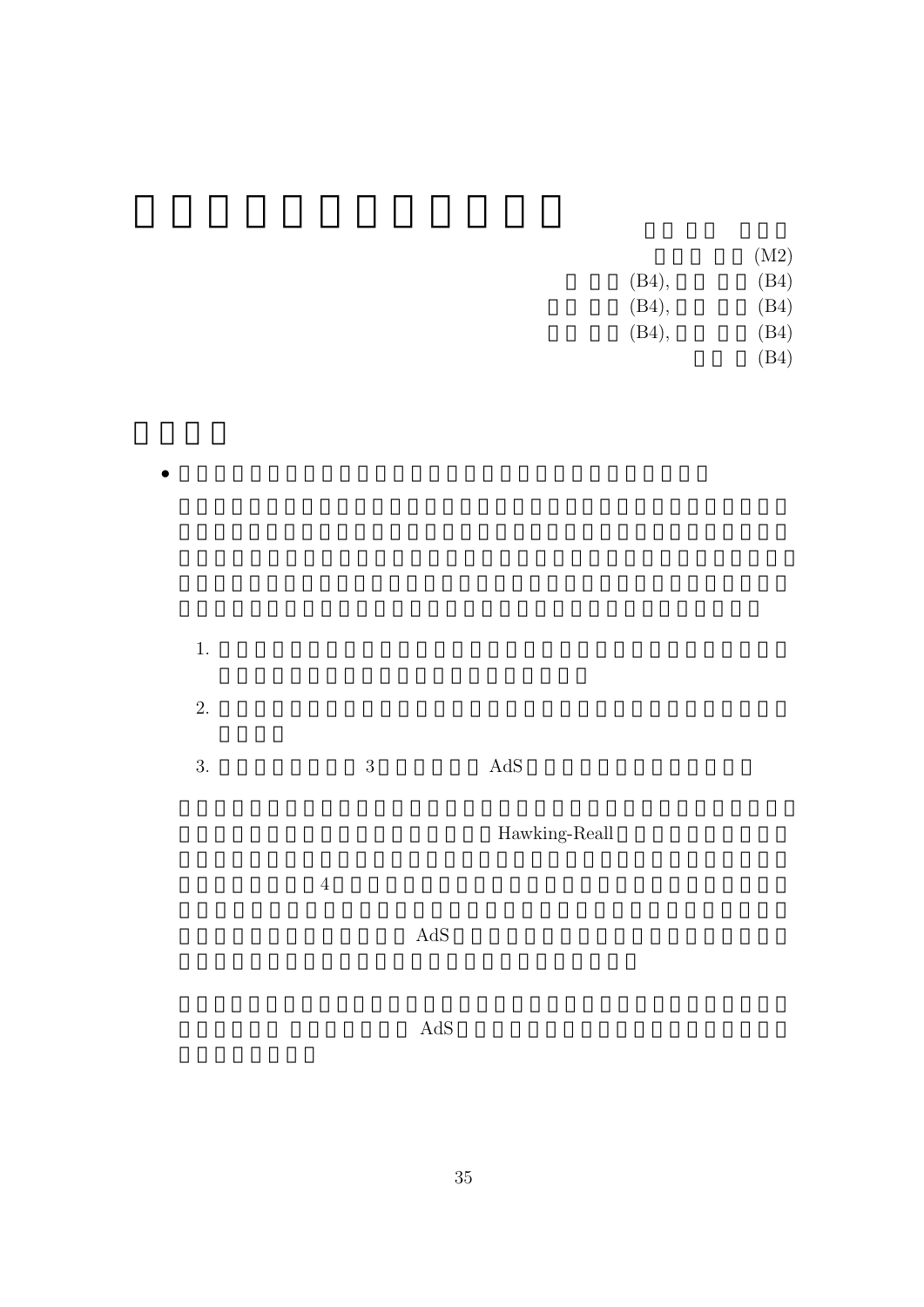|       | (M2) |
|-------|------|
| (B4), | (B4) |
| (B4), | (B4) |
| (B4), | (B4) |
|       | (B4) |

 $1.$  $2.$  $3 \qquad \qquad \text{AdS}$ 

•<br>• トゥックホールと低い対称性をもつづける高次元<sup>ブラック</sup>ホールと低い対称性をもつづける

 $\rm Hawking\text{-}Real$ 

 $4$ 

 $AdS$ 

 $AdS$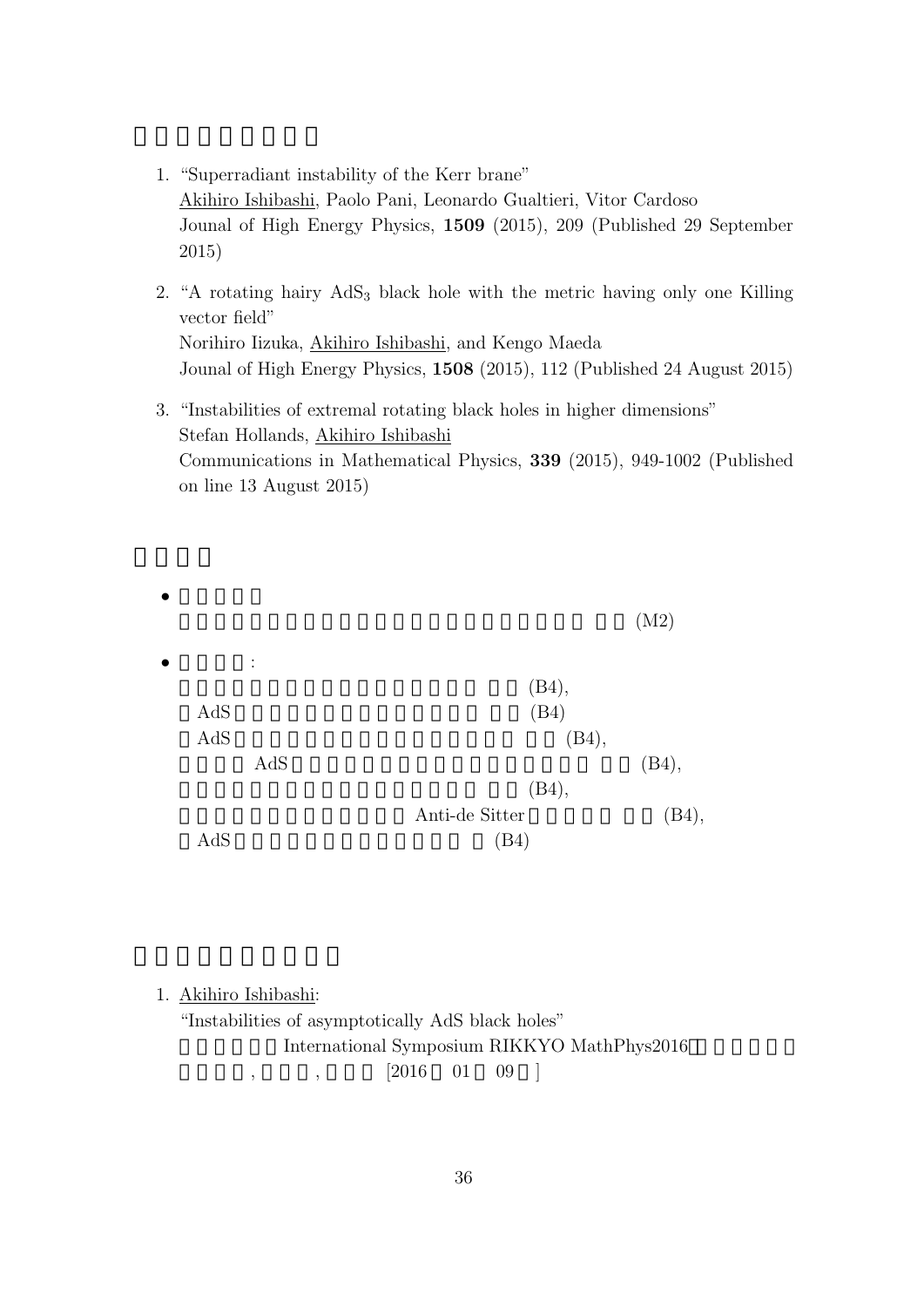- 1. "Superradiant instability of the Kerr brane" Akihiro Ishibashi, Paolo Pani, Leonardo Gualtieri, Vitor Cardoso Jounal of High Energy Physics, **1509** (2015), 209 (Published 29 September 2015)
- 2. "A rotating hairy  $AdS_3$  black hole with the metric having only one Killing vector field" Norihiro Iizuka, Akihiro Ishibashi, and Kengo Maeda Jounal of High Energy Physics, **1508** (2015), 112 (Published 24 August 2015)
- 3. "Instabilities of extremal rotating black holes in higher dimensions" Stefan Hollands, Akihiro Ishibashi Communications in Mathematical Physics, **339** (2015), 949-1002 (Published on line 13 August 2015)

| $\bullet$ |     |                |                | (M2)  |
|-----------|-----|----------------|----------------|-------|
| $\bullet$ |     | $\ddot{\cdot}$ |                |       |
|           |     |                | (B4),          |       |
|           | AdS |                | (B4)           |       |
|           | AdS |                | (B4),          |       |
|           |     | AdS            |                | (B4), |
|           |     |                | (B4),          |       |
|           |     |                | Anti-de Sitter | (B4), |
|           | AdS |                | (B4)           |       |
|           |     |                |                |       |

### 1. Akihiro Ishibashi:

"Instabilities of asymptotically AdS black holes" International Symposium RIKKYO MathPhys2016  $\label{eq:3.1} \text{,} \qquad \quad \text{,} \qquad \quad \text{[2016} \quad \ \, 01 \quad \ \, 09 \quad \text{]}$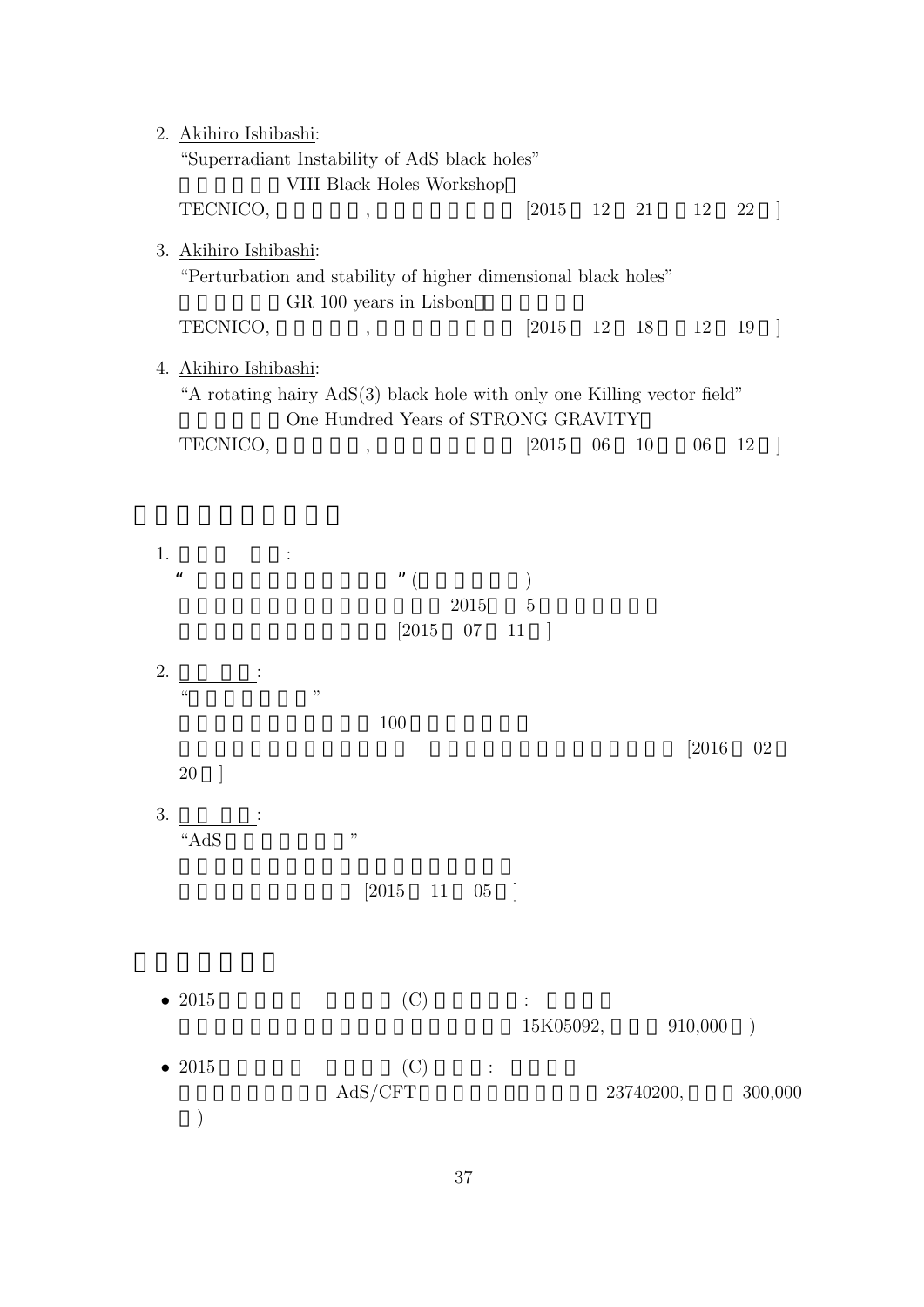|    | 2. Akihiro Ishibashi: | "Superradiant Instability of AdS black holes"                                                                  |                                       |                      |                            |         |
|----|-----------------------|----------------------------------------------------------------------------------------------------------------|---------------------------------------|----------------------|----------------------------|---------|
|    |                       | VIII Black Holes Workshop                                                                                      |                                       |                      |                            |         |
|    | TECNICO,              | $\overline{ }$                                                                                                 |                                       |                      | $[2015 \t 12 \t 21 \t 12]$ | 22      |
|    | 3. Akihiro Ishibashi: | "Perturbation and stability of higher dimensional black holes"                                                 |                                       |                      |                            |         |
|    | TECNICO,              | GR 100 years in Lisbon<br>$\overline{ }$                                                                       |                                       | $[2015 \t 12 \t 18]$ | 12                         | 19      |
|    | 4. Akihiro Ishibashi: | "A rotating hairy AdS(3) black hole with only one Killing vector field"<br>One Hundred Years of STRONG GRAVITY |                                       |                      |                            |         |
|    | TECNICO,              | $\overline{ }$ ,                                                                                               | $[2015$                               | 06 10                | 06                         | 12      |
| 1. |                       | "<br>2015<br>$[2015$                                                                                           | $\overline{5}$<br>$07 \quad 11 \quad$ |                      |                            |         |
| 2. |                       |                                                                                                                |                                       |                      |                            |         |
|    | $\zeta\zeta$<br>20    | $, ,$<br>100                                                                                                   |                                       |                      | $[2016$                    | 02      |
| 3. | "AdS                  | $, \,$                                                                                                         |                                       |                      |                            |         |
|    |                       | $[2015 \quad 11 \quad 05]$                                                                                     |                                       |                      |                            |         |
|    | $\bullet$ 2015        | (C)                                                                                                            | 15K05092,                             |                      | 910,000                    | $\big)$ |
|    | $\bullet$ 2015        | (C)<br>AdS/CFT                                                                                                 |                                       | 23740200,            |                            | 300,000 |
|    |                       |                                                                                                                |                                       |                      |                            |         |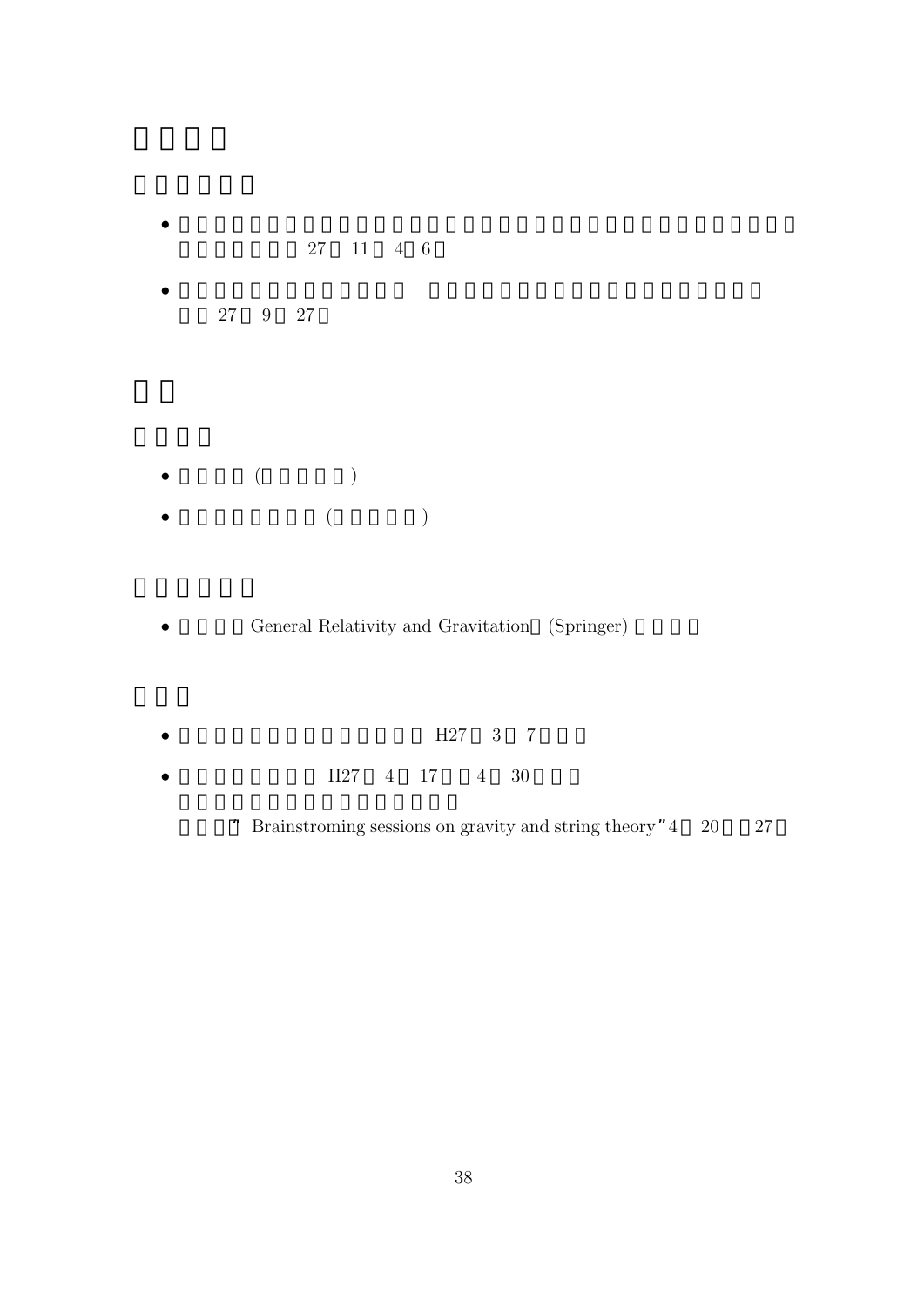- *•* 出張授業:集中講義「高次元ブラックホール」名古屋大学大学院理学研究科、  $27 \quad 11 \quad 4 \quad 6$
- •<br>• <sub>200</sub>0 to the contract the contract to the contract to the contract to the contract of the contract to the contract of the contract of the contract of the contract of the contract of the contract of the contract of the 平成 27 9 27

- *•* 教務委員 (前期・後期) *•* 基礎物理学世話人 (前期・後期)
- General Relativity and Gravitation (Springer)
- **•** *•* **H27 3 7** *•*  $\text{H27}$  4 17 4 30

" Brainstroming sessions on gravity and string theory " $4\quad 20\quad 27$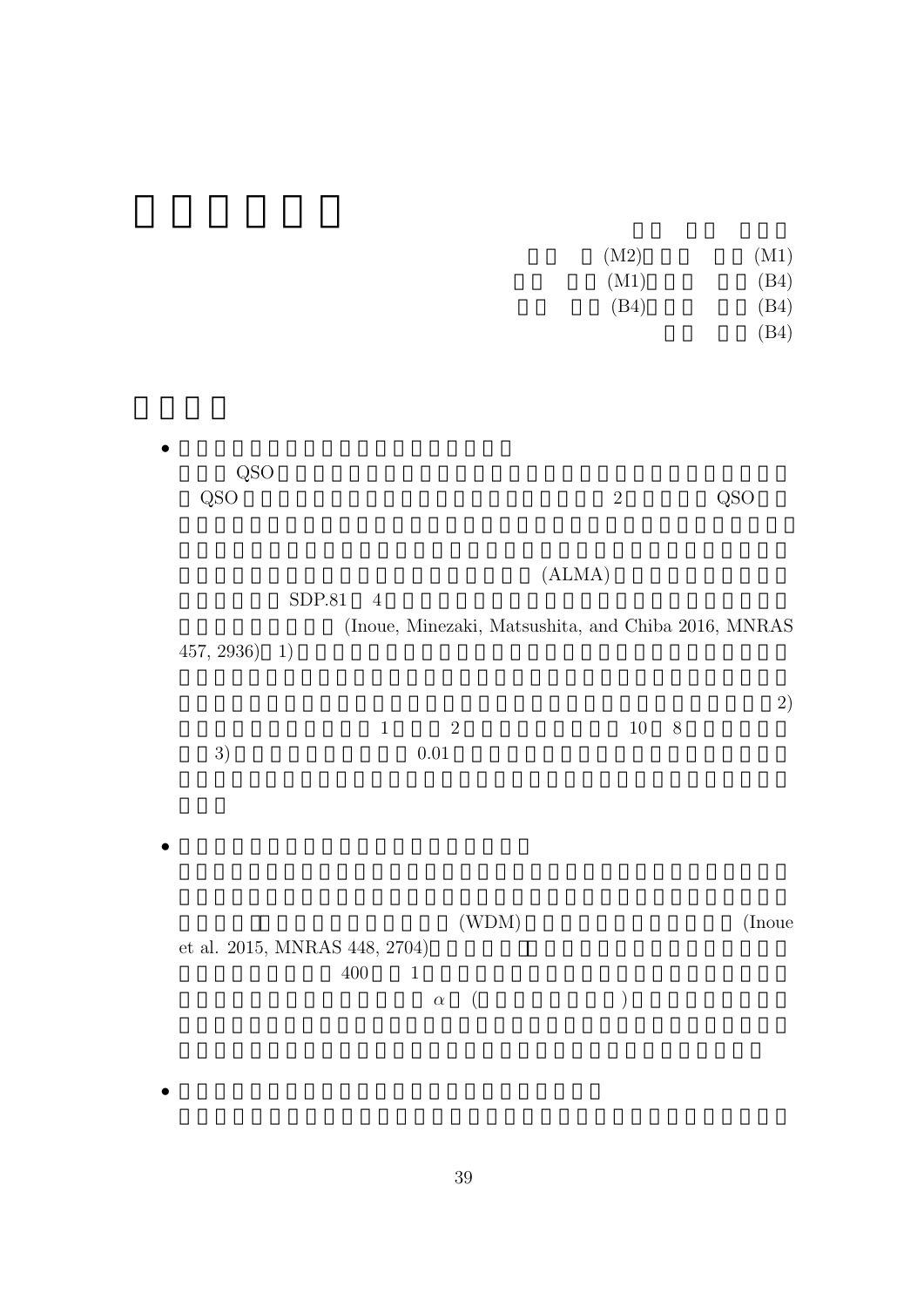| (M2) | (M1) |
|------|------|
| (M1) | (B4) |
| (B4) | (B4) |
|      | (B4) |

•<br>• <sub>Extern</sub>e <sub>a</sub>  $QSO$  $QSO$   $2$   $QSO$ 

|                |                  | (ALMA) |  |                                                     |  |  |    |
|----------------|------------------|--------|--|-----------------------------------------------------|--|--|----|
|                | $SDP.81 \quad 4$ |        |  | (Inoue, Minezaki, Matsushita, and Chiba 2016, MNRAS |  |  |    |
| $457, 2936$ 1) |                  |        |  |                                                     |  |  |    |
|                |                  |        |  |                                                     |  |  | 2) |

|    | $\sim$ 1 $\sim$ | $\overline{2}$ | 10 8 |  |
|----|-----------------|----------------|------|--|
| 3) |                 | 0.01           |      |  |
|    |                 |                |      |  |
|    |                 |                |      |  |
|    |                 |                |      |  |

(WDM) (Inoue et al. 2015, MNRAS 448, 2704)  $400 \qquad 1$  $\alpha$  (experimentally a constant  $\alpha$  and  $\alpha$  and  $\alpha$  and  $\alpha$  and  $\alpha$  and  $\alpha$  and  $\alpha$  and  $\alpha$  and  $\alpha$  and  $\alpha$  and  $\alpha$  and  $\alpha$  and  $\alpha$  and  $\alpha$  and  $\alpha$  and  $\alpha$  and  $\alpha$  and  $\alpha$  and  $\alpha$  and  $\alpha$  and  $\alpha$  and

•<br>• <sub>a</sub>

•<br>• <sub>Santa</sub> <sub>i</sub>n Santa in Santa in Santa in Santa in Santa in Santa in Santa in Santa in Santa in Santa in Santa in San

39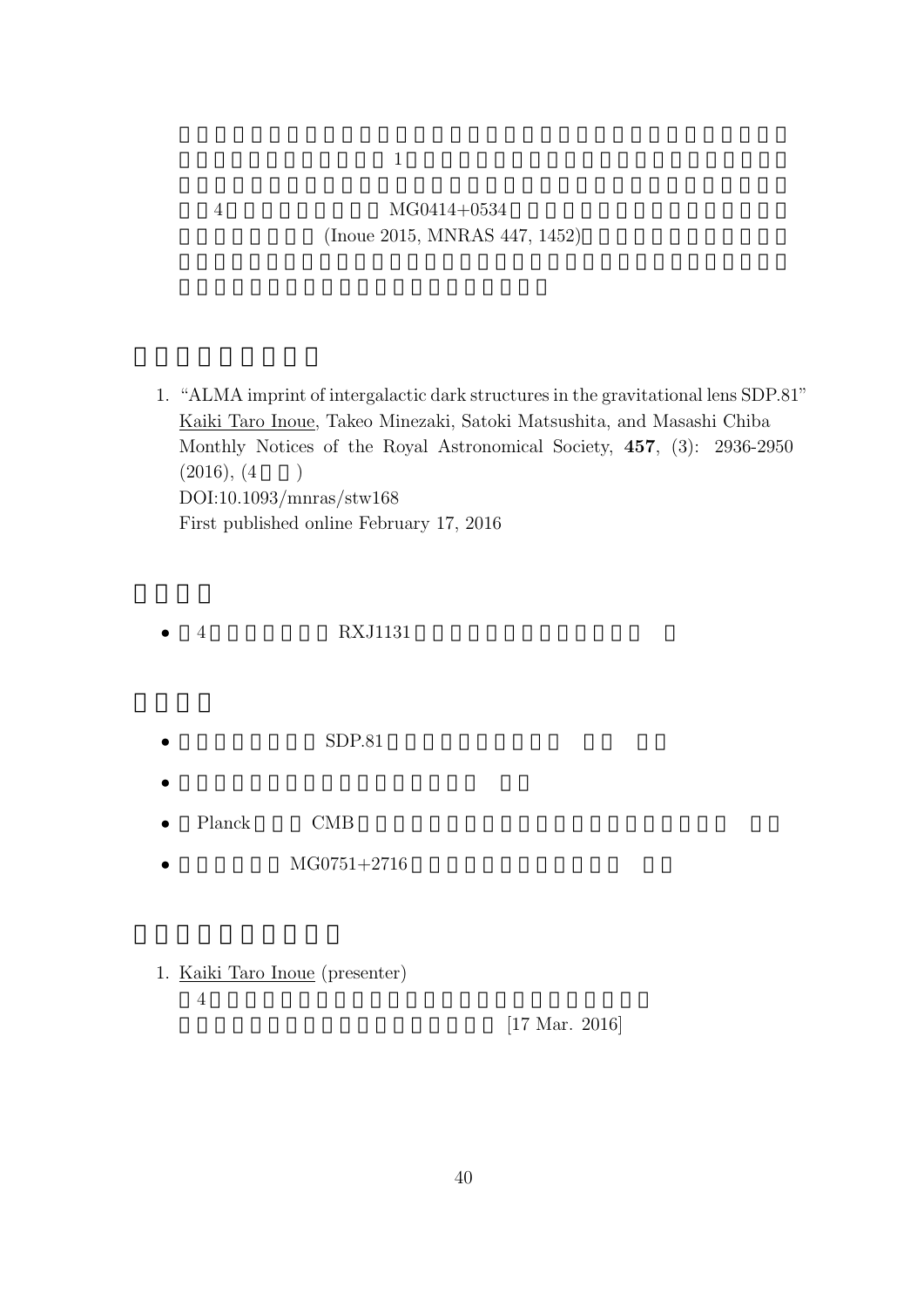# $4 \text{MG}0414+0534$  $(Inoue 2015, MNRAS 447, 1452)$

 $1$ 

- 1. "ALMA imprint of intergalactic dark structures in the gravitational lens SDP.81" Kaiki Taro Inoue, Takeo Minezaki, Satoki Matsushita, and Masashi Chiba Monthly Notices of the Royal Astronomical Society, **457**, (3): 2936-2950  $(2016), (4)$ DOI:10.1093/mnras/stw168 First published online February 17, 2016
- *•* 4 重像クエーサー RXJ1131 のホスト銀河輝度分布」高橋 誠
- **• SDP.81**  $\blacksquare$
- •<br>• The state of the state of the state of the state of the state of the state of the state of the state of the
- Planck CMB
- **MG0751+2716**
- 1. Kaiki Taro Inoue (presenter)  $4$

 $[17 \text{ Mar. } 2016]$